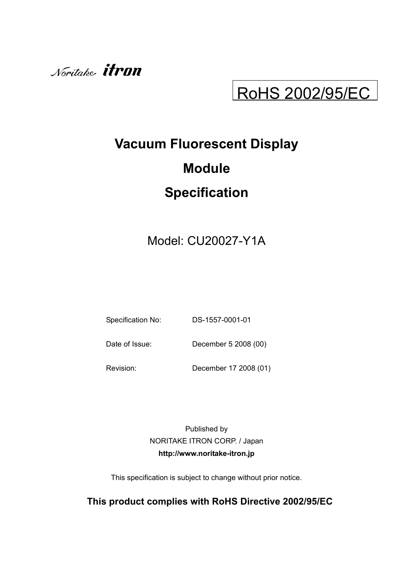

# RoHS 2002/95/EC

# **Vacuum Fluorescent Display Module Specification**

Model: CU20027-Y1A

Specification No: DS-1557-0001-01

Date of Issue: December 5 2008 (00)

Revision: December 17 2008 (01)

Published by NORITAKE ITRON CORP. / Japan **http://www.noritake-itron.jp**

This specification is subject to change without prior notice.

# **This product complies with RoHS Directive 2002/95/EC**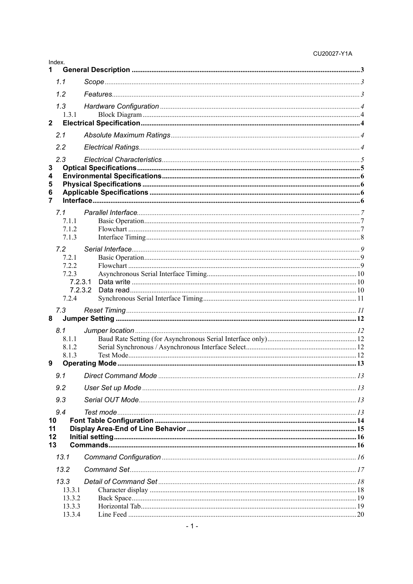| Index.<br>1      |                    |  |
|------------------|--------------------|--|
| 1.1              |                    |  |
| 1.2              |                    |  |
| 1.3              |                    |  |
| 1.3.1            |                    |  |
| $\mathbf{2}$     |                    |  |
| 2.1              |                    |  |
| 2.2              |                    |  |
| 2.3              |                    |  |
| 3                |                    |  |
| 4<br>5           |                    |  |
| 6                |                    |  |
| 7                |                    |  |
| 7.1              |                    |  |
| 7.1.1            |                    |  |
| 7.1.2<br>7.1.3   |                    |  |
| 7.2              |                    |  |
| 7.2.1            |                    |  |
| 7.2.2            |                    |  |
| 7.2.3            |                    |  |
|                  | 7.2.3.1<br>7.2.3.2 |  |
| 7.2.4            |                    |  |
| 7.3              |                    |  |
| 8                |                    |  |
| 8.1              |                    |  |
| 8.1.1            |                    |  |
| 8.1.2<br>8.1.3   |                    |  |
| 9                |                    |  |
| 9.1              |                    |  |
| 9.2              |                    |  |
|                  |                    |  |
| 9.3              |                    |  |
| 9.4              |                    |  |
| 10<br>11         |                    |  |
| 12               |                    |  |
| 13               |                    |  |
| 13.1             |                    |  |
| 13.2             |                    |  |
| 13.3             |                    |  |
| 13.3.1           |                    |  |
| 13.3.2           |                    |  |
| 13.3.3<br>13.3.4 |                    |  |
|                  |                    |  |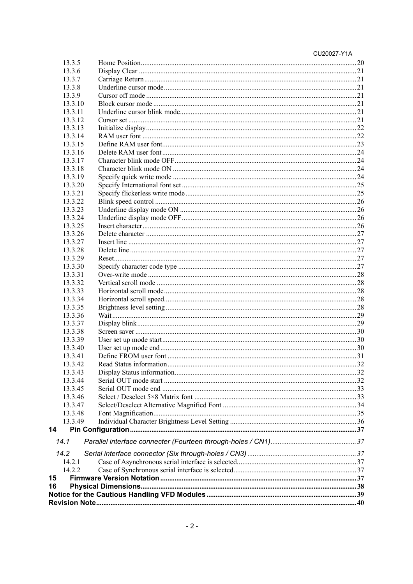# CU20027-Y1A

| 13.3.5  |  |
|---------|--|
| 13.3.6  |  |
| 13.3.7  |  |
| 13.3.8  |  |
| 13.3.9  |  |
| 13.3.10 |  |
| 13.3.11 |  |
| 13.3.12 |  |
| 13.3.13 |  |
| 13.3.14 |  |
| 13.3.15 |  |
| 13.3.16 |  |
| 13.3.17 |  |
| 13.3.18 |  |
| 13.3.19 |  |
| 13.3.20 |  |
| 13.3.21 |  |
| 13.3.22 |  |
| 13.3.23 |  |
| 13.3.24 |  |
| 13.3.25 |  |
| 13.3.26 |  |
| 13.3.27 |  |
| 13.3.28 |  |
| 13.3.29 |  |
| 13.3.30 |  |
| 13.3.31 |  |
| 13.3.32 |  |
| 13.3.33 |  |
| 13.3.34 |  |
| 13.3.35 |  |
| 13.3.36 |  |
| 13.3.37 |  |
| 13.3.38 |  |
| 13.3.39 |  |
| 13.3.40 |  |
| 13.3.41 |  |
| 13.3.42 |  |
| 13.3.43 |  |
| 13.3.44 |  |
| 13.3.45 |  |
| 13.3.46 |  |
| 13.3.47 |  |
| 13.3.48 |  |
| 13.3.49 |  |
| 14      |  |
|         |  |
| 14.1    |  |
| 14.2    |  |
| 14.2.1  |  |
| 14 2 2  |  |
| 15      |  |
| 16      |  |
|         |  |
|         |  |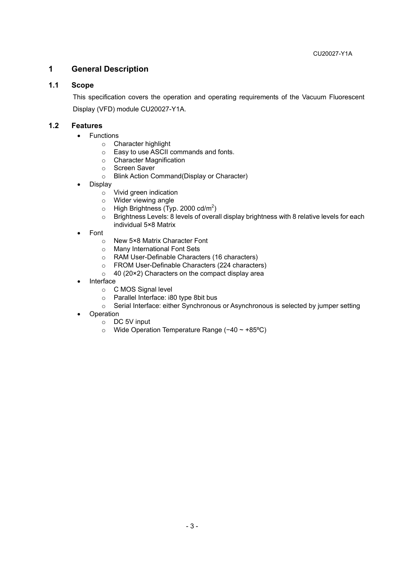# **1 General Description**

# **1.1 Scope**

This specification covers the operation and operating requirements of the Vacuum Fluorescent Display (VFD) module CU20027-Y1A.

# **1.2 Features**

- Functions
	- o Character highlight
	- o Easy to use ASCII commands and fonts.
	- o Character Magnification
	- o Screen Saver
	- o Blink Action Command(Display or Character)
- Display
	- o Vivid green indication
	- o Wider viewing angle
	- $\circ$  High Brightness (Typ. 2000 cd/m<sup>2</sup>)
	- o Brightness Levels: 8 levels of overall display brightness with 8 relative levels for each individual 5×8 Matrix
- Font
	- o New 5×8 Matrix Character Font
	- o Many International Font Sets
	- o RAM User-Definable Characters (16 characters)
	- o FROM User-Definable Characters (224 characters)
	- o 40 (20×2) Characters on the compact display area
- **Interface** 
	- o C MOS Signal level
	- o Parallel Interface: i80 type 8bit bus
	- $\circ$  Serial Interface: either Synchronous or Asynchronous is selected by jumper setting
- **Operation** 
	- o DC 5V input
	- o Wide Operation Temperature Range (−40 ~ +85ºC)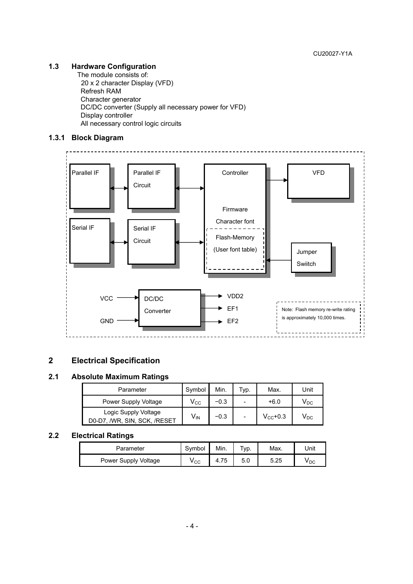# **1.3 Hardware Configuration**

The module consists of: 20 x 2 character Display (VFD) Refresh RAM Character generator DC/DC converter (Supply all necessary power for VFD) Display controller All necessary control logic circuits

#### **1.3.1 Block Diagram**



# **2 Electrical Specification**

# **2.1 Absolute Maximum Ratings**

| Parameter                                            | Symbol                     | Min.   | Typ.                         | Max.          | Unit                     |
|------------------------------------------------------|----------------------------|--------|------------------------------|---------------|--------------------------|
| Power Supply Voltage                                 | $\mathsf{V}_{\mathsf{CC}}$ | $-0.3$ | $\qquad \qquad \blacksquare$ | +6.0          | $\mathsf{V}_\mathsf{DC}$ |
| Logic Supply Voltage<br>D0-D7, /WR, SIN, SCK, /RESET | $V_{\text{IN}}$            | -0.3   | $\overline{\phantom{0}}$     | $V_{CC}$ +0.3 | $\mathsf{V}_\mathsf{DC}$ |

# **2.2 Electrical Ratings**

| Parameter            | Symbol | Min. | $\tau_{VD}$ . | Max. | Unit |
|----------------------|--------|------|---------------|------|------|
| Power Supply Voltage | v cc   | 4.75 | 5.0           | 5.25 | ∨рс  |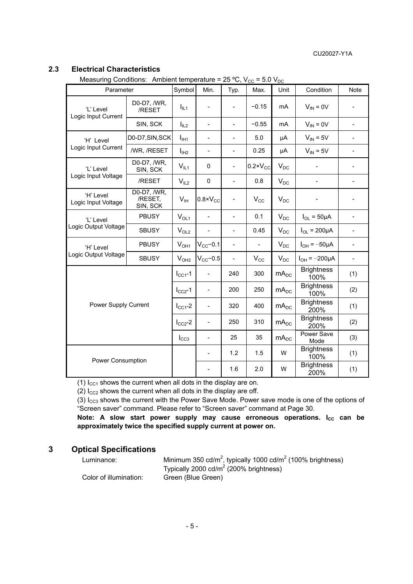# **2.3 Electrical Characteristics**

Measuring Conditions: Ambient temperature =  $25 \degree C$ , V<sub>CC</sub> =  $5.0 \text{ V}_{DC}$ 

| Parameter                        |                                    | Symbol           | Min.                | Typ.                     | Max.                | Unit             | Condition                 | <b>Note</b> |
|----------------------------------|------------------------------------|------------------|---------------------|--------------------------|---------------------|------------------|---------------------------|-------------|
| 'L' Level<br>Logic Input Current | D0-D7, /WR,<br>/RESET              | $I_{IL1}$        |                     | $\overline{a}$           | $-0.15$             | m <sub>A</sub>   | $V_{IN} = 0V$             |             |
|                                  | SIN, SCK                           | $I_{IL2}$        | $\blacksquare$      | $\overline{a}$           | $-0.55$             | mA               | $V_{IN} = 0V$             |             |
| 'H' Level                        | D0-D7,SIN,SCK                      | I <sub>IH1</sub> | $\blacksquare$      | $\overline{a}$           | 5.0                 | μA               | $V_{IN} = 5V$             | ÷.          |
| Logic Input Current              | /WR, /RESET                        | I <sub>IH2</sub> | $\blacksquare$      |                          | 0.25                | μA               | $V_{IN} = 5V$             |             |
| 'L' Level                        | D0-D7, /WR,<br>SIN, SCK            | $V_{IL1}$        | 0                   | $\overline{\phantom{a}}$ | $0.2 \times V_{CC}$ | $V_{DC}$         |                           |             |
| Logic Input Voltage              | /RESET                             | $V_{IL2}$        | 0                   | $\overline{a}$           | 0.8                 | $V_{DC}$         |                           |             |
| 'H' Level<br>Logic Input Voltage | D0-D7, /WR,<br>/RESET,<br>SIN, SCK | $V_{\text{IH}}$  | $0.8 \times V_{CC}$ |                          | $V_{\rm CC}$        | $V_{DC}$         |                           |             |
| 'L' Level                        | <b>PBUSY</b>                       | $V_{OL1}$        | ä,                  | L.                       | 0.1                 | $V_{DC}$         | $I_{OL}$ = 50µA           |             |
| Logic Output Voltage             | <b>SBUSY</b>                       | $V_{OL2}$        |                     | $\overline{a}$           | 0.45                | $V_{DC}$         | $I_{OL}$ = 200µA          |             |
| 'H' Level                        | <b>PBUSY</b>                       | $V_{OH1}$        | $V_{CC}$ -0.1       | $\blacksquare$           |                     | $V_{DC}$         | $I_{OH} = -50 \mu A$      | ÷,          |
| Logic Output Voltage             | <b>SBUSY</b>                       | V <sub>OH2</sub> | $V_{CC}$ -0.5       | $\blacksquare$           | $V_{\rm CC}$        | $V_{DC}$         | $I_{OH} = -200 \mu A$     | ÷,          |
| Power Supply Current             |                                    | $I_{CC1}$ -1     | ÷,                  | 240                      | 300                 | mA <sub>DC</sub> | <b>Brightness</b><br>100% | (1)         |
|                                  |                                    | $I_{CC2}$ -1     | $\frac{1}{2}$       | 200                      | 250                 | mA <sub>DC</sub> | <b>Brightness</b><br>100% | (2)         |
|                                  |                                    | $I_{CC1}$ -2     |                     | 320                      | 400                 | mA <sub>DC</sub> | <b>Brightness</b><br>200% | (1)         |
|                                  |                                    | $I_{CC2}$ -2     | $\blacksquare$      | 250                      | 310                 | mA <sub>DC</sub> | <b>Brightness</b><br>200% | (2)         |
|                                  |                                    | $I_{CC3}$        | $\frac{1}{2}$       | 25                       | 35                  | mA <sub>DC</sub> | Power Save<br>Mode        | (3)         |
| Power Consumption                |                                    |                  |                     | 1.2                      | 1.5                 | W                | <b>Brightness</b><br>100% | (1)         |
|                                  |                                    |                  |                     | 1.6                      | 2.0                 | W                | <b>Brightness</b><br>200% | (1)         |

(1)  $I_{CC1}$  shows the current when all dots in the display are on.

(2)  $I_{CC2}$  shows the current when all dots in the display are off.

(3)  $I_{CC3}$  shows the current with the Power Save Mode. Power save mode is one of the options of "Screen saver" command. Please refer to "Screen saver" command at Page 30.

Note: A slow start power supply may cause erroneous operations. I<sub>cc</sub> can be **approximately twice the specified supply current at power on.** 

# **3 Optical Specifications**

Luminance: Minimum 350 cd/m<sup>2</sup>, typically 1000 cd/m<sup>2</sup> (100% brightness) Typically 2000 cd/ $m^2$  (200% brightness) Color of illumination: Green (Blue Green)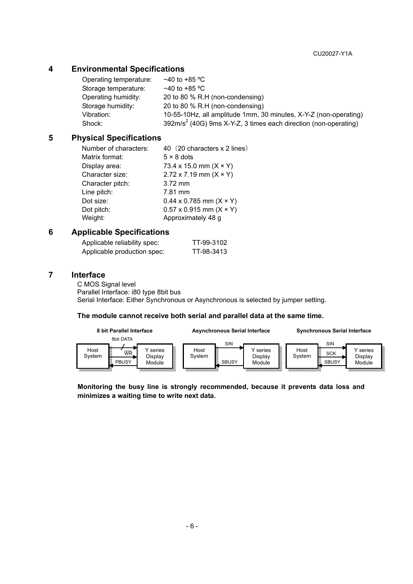# **4 Environmental Specifications**

| Operating temperature: | $-40$ to $+85$ °C                                                 |
|------------------------|-------------------------------------------------------------------|
| Storage temperature:   | $-40$ to $+85$ °C                                                 |
| Operating humidity:    | 20 to 80 % R.H (non-condensing)                                   |
| Storage humidity:      | 20 to 80 % R.H (non-condensing)                                   |
| Vibration:             | 10-55-10Hz, all amplitude 1mm, 30 minutes, X-Y-Z (non-operating)  |
| Shock:                 | $392m/s2$ (40G) 9ms X-Y-Z, 3 times each direction (non-operating) |

# **5 Physical Specifications**

| Number of characters: | 40 (20 characters x 2 lines)          |
|-----------------------|---------------------------------------|
| Matrix format:        | $5 \times 8$ dots                     |
| Display area:         | 73.4 x 15.0 mm $(X \times Y)$         |
| Character size:       | $2.72 \times 7.19$ mm $(X \times Y)$  |
| Character pitch:      | $3.72$ mm                             |
| Line pitch:           | 7.81 mm                               |
| Dot size:             | $0.44 \times 0.785$ mm $(X \times Y)$ |
| Dot pitch:            | $0.57 \times 0.915$ mm $(X \times Y)$ |
| Weight:               | Approximately 48 g                    |

#### **6 Applicable Specifications**

| Applicable reliability spec: | TT-99-3102 |
|------------------------------|------------|
| Applicable production spec:  | TT-98-3413 |

#### **7 Interface**

C MOS Signal level Parallel Interface: i80 type 8bit bus Serial Interface: Either Synchronous or Asynchronous is selected by jumper setting.

**The module cannot receive both serial and parallel data at the same time.**



**Monitoring the busy line is strongly recommended, because it prevents data loss and minimizes a waiting time to write next data.**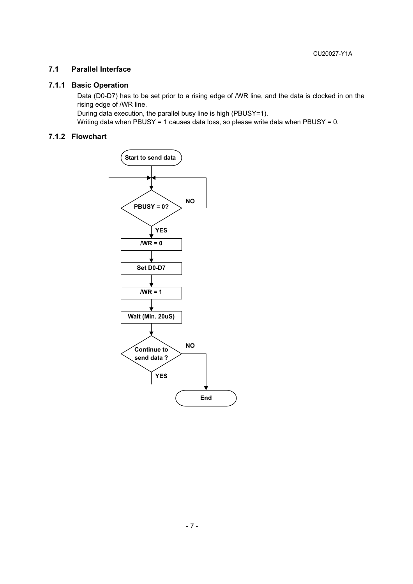# **7.1 Parallel Interface**

# **7.1.1 Basic Operation**

Data (D0-D7) has to be set prior to a rising edge of /WR line, and the data is clocked in on the rising edge of /WR line.

During data execution, the parallel busy line is high (PBUSY=1).

Writing data when PBUSY = 1 causes data loss, so please write data when PBUSY = 0.

# **7.1.2 Flowchart**

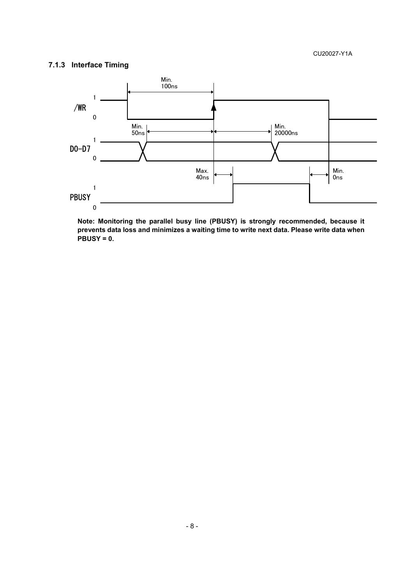# **7.1.3 Interface Timing**



**Note: Monitoring the parallel busy line (PBUSY) is strongly recommended, because it prevents data loss and minimizes a waiting time to write next data. Please write data when PBUSY = 0.**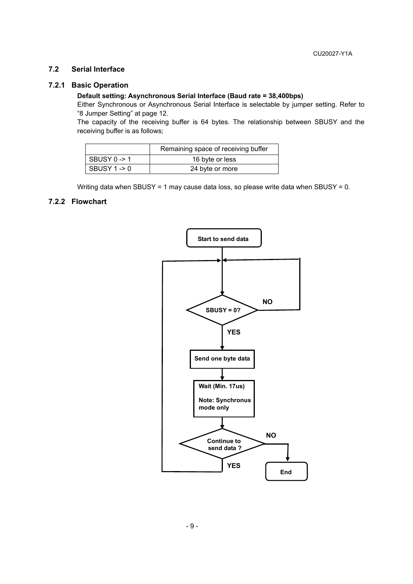# **7.2 Serial Interface**

#### **7.2.1 Basic Operation**

#### **Default setting: Asynchronous Serial Interface (Baud rate = 38,400bps)**

Either Synchronous or Asynchronous Serial Interface is selectable by jumper setting. Refer to "8 Jumper Setting" at page 12.

The capacity of the receiving buffer is 64 bytes. The relationship between SBUSY and the receiving buffer is as follows;

|                | Remaining space of receiving buffer |
|----------------|-------------------------------------|
| $SBUSY0 - > 1$ | 16 byte or less                     |
| SBUSY 1 -> $0$ | 24 byte or more                     |

Writing data when SBUSY = 1 may cause data loss, so please write data when SBUSY = 0.

# **7.2.2 Flowchart**

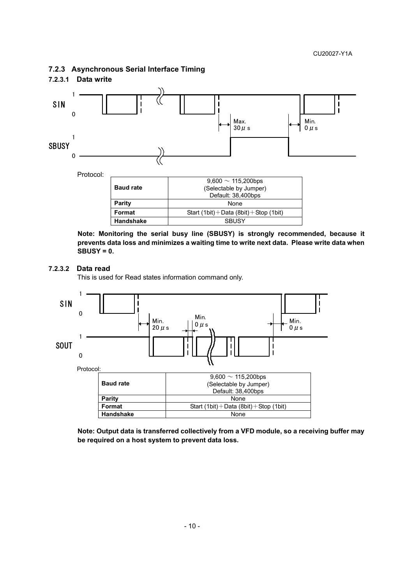# **7.2.3 Asynchronous Serial Interface Timing**





**Note: Monitoring the serial busy line (SBUSY) is strongly recommended, because it prevents data loss and minimizes a waiting time to write next data. Please write data when SBUSY = 0.** 

#### **7.2.3.2 Data read**

This is used for Read states information command only.



**Note: Output data is transferred collectively from a VFD module, so a receiving buffer may be required on a host system to prevent data loss.**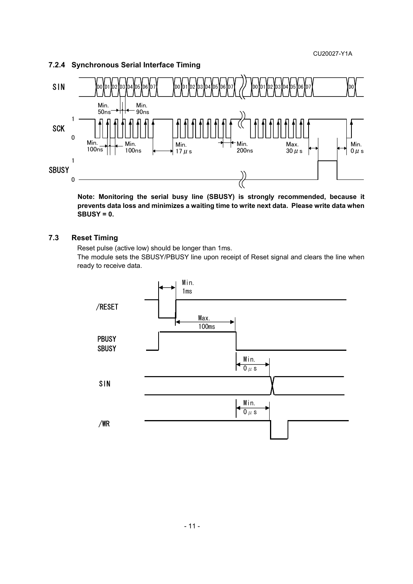CU20027-Y1A

# **7.2.4 Synchronous Serial Interface Timing**



**Note: Monitoring the serial busy line (SBUSY) is strongly recommended, because it prevents data loss and minimizes a waiting time to write next data. Please write data when SBUSY = 0.** 

#### **7.3 Reset Timing**

Reset pulse (active low) should be longer than 1ms.

The module sets the SBUSY/PBUSY line upon receipt of Reset signal and clears the line when ready to receive data.

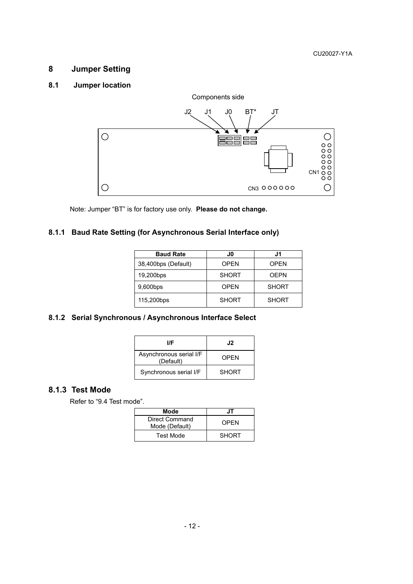# **8 Jumper Setting**

# **8.1 Jumper location**



Note: Jumper "BT" is for factory use only. **Please do not change.**

# **8.1.1 Baud Rate Setting (for Asynchronous Serial Interface only)**

| <b>Baud Rate</b>    | J0           | J1           |  |
|---------------------|--------------|--------------|--|
| 38,400bps (Default) | <b>OPEN</b>  | <b>OPEN</b>  |  |
| 19,200bps           | <b>SHORT</b> | <b>OEPN</b>  |  |
| 9,600bps            | <b>OPEN</b>  | <b>SHORT</b> |  |
| 115,200bps          | <b>SHORT</b> | <b>SHORT</b> |  |

# **8.1.2 Serial Synchronous / Asynchronous Interface Select**

| 1/F                                  | .12   |
|--------------------------------------|-------|
| Asynchronous serial I/F<br>(Default) | OPFN  |
| Synchronous serial I/F               | SHORT |

# **8.1.3 Test Mode**

Refer to "9.4 Test mode".

| Mode                             |              |
|----------------------------------|--------------|
| Direct Command<br>Mode (Default) | OPFN         |
| <b>Test Mode</b>                 | <b>SHORT</b> |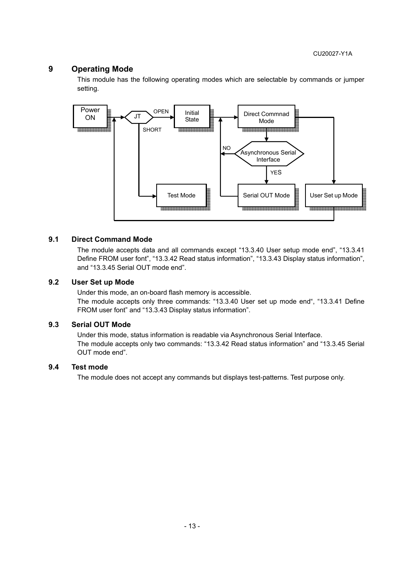# **9 Operating Mode**

This module has the following operating modes which are selectable by commands or jumper setting.



# **9.1 Direct Command Mode**

The module accepts data and all commands except "13.3.40 User setup mode end", "13.3.41 Define FROM user font", "13.3.42 Read status information", "13.3.43 Display status information", and "13.3.45 Serial OUT mode end".

#### **9.2 User Set up Mode**

Under this mode, an on-board flash memory is accessible. The module accepts only three commands: "13.3.40 User set up mode end", "13.3.41 Define FROM user font" and "13.3.43 Display status information".

### **9.3 Serial OUT Mode**

Under this mode, status information is readable via Asynchronous Serial Interface. The module accepts only two commands: "13.3.42 Read status information" and "13.3.45 Serial OUT mode end".

# **9.4 Test mode**

The module does not accept any commands but displays test-patterns. Test purpose only.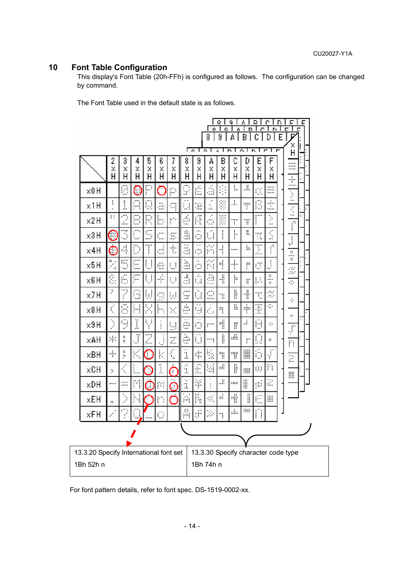# **10 Font Table Configuration**

This display's Font Table (20h-FFh) is configured as follows. The configuration can be changed by command.

The Font Table used in the default state is as follows.

| Q.<br>Q<br>D<br>o<br>Е<br>Λ<br>Е<br>ō<br>ō<br>o<br>п<br>Е<br>ô<br>D<br>D.                                                                                                                     |  |  |  |
|-----------------------------------------------------------------------------------------------------------------------------------------------------------------------------------------------|--|--|--|
| 8<br>9<br>Δ<br>F<br>×<br>H<br>Γ⊼<br>I.<br>O.<br>Ă.<br>r                                                                                                                                       |  |  |  |
| 3<br>8<br>2<br>5<br>6<br>9<br>A<br>В<br>С<br>4<br>7<br>D<br>F<br>Ε<br>$\mathbb{R}$<br>X<br>X<br>X<br>X<br>X<br>X                                                                              |  |  |  |
| X<br>×<br>×<br>×<br>Χ<br>×<br>×<br>×<br>Η<br>Н<br>Η<br>Н<br>Η<br>Н<br>Η<br>Н<br>Н<br>Η<br>Н<br>Н<br>Н<br>Η<br>Ì                                                                               |  |  |  |
| Ģ<br>Ø<br>P<br>8<br>j.<br>i<br>É<br>á<br>m<br>٣<br>O<br>P<br>x0H<br>O,                                                                                                                        |  |  |  |
| <b>Mark</b><br>Ā<br>Ū<br>.,<br>ß<br>ĺ<br>į<br>8<br>!<br>İ<br>ā<br>Ţ<br>x1H<br>9<br>u<br>æ<br>ï.<br>F                                                                                          |  |  |  |
| 2<br>$\overline{\Gamma}$<br>÷<br>R<br>÷,<br>$\vdots$<br>B<br>š<br>$\frac{1}{2}$<br>b<br>é<br>A<br>ŗ.<br>x2H<br>ò<br>Ŧ<br>Ŧ<br>$\overline{\Gamma}$                                             |  |  |  |
| I<br>C<br>5<br>Ġ,<br>ŝ<br>İ<br>$\frac{1}{2}$<br>ú<br>ŀ<br>ä.<br>C<br>x3H<br>S<br>π<br>c<br>d<br>J                                                                                             |  |  |  |
| ā<br>. .<br>ńф,<br>I<br>ř<br>Ţ<br>ł<br>D<br>ŧ<br>Ŀ.<br>4<br>d<br>Ċ<br>$\times$ 4H<br><br>F,<br>o<br>$\frac{1}{1}$                                                                             |  |  |  |
| 5<br>X<br>Ē<br>ńф,<br>٠.<br>H<br>J<br>U<br>à<br>÷<br>e<br>x5H<br>U<br>r<br>Ţ<br>o<br>N<br>m,<br>J.                                                                                            |  |  |  |
| ā<br>$\ddot{\phantom{a}}$<br>6<br>F<br>8<br>Ų<br>4<br>f<br>å<br>þ<br>Ų<br>x6H<br>Ļł.<br>÷<br>u<br>T<br>ਨ                                                                                      |  |  |  |
| Ï.<br>7<br>G<br>ŀ<br>÷<br>IJ<br><br>9<br>ă,<br>ú<br>T<br>x7H<br>9<br>S<br>W<br>T<br>÷                                                                                                         |  |  |  |
| Ż,<br>Ŧ<br>÷<br>8<br>ý.<br>h<br>H<br>ï.<br>Ç<br>ė<br>÷<br>X<br>F<br>x8H<br>V<br>።                                                                                                             |  |  |  |
| ē<br>9<br>Ī<br>ö<br>ÿ<br>P)<br>8<br>4<br>j.<br>$\blacksquare$<br>U<br>x9H<br>T<br>÷<br>ŗ.<br>į<br>$\sqrt{\Gamma}$                                                                             |  |  |  |
| 7<br>J<br>Ũ<br>J<br>è<br>Ω<br>l<br>alla<br>Ö.<br>÷<br>z<br>xAH<br><br>$\ddot{\phantom{a}}$<br>r<br>ħ<br>∴…                                                                                    |  |  |  |
| ï<br>€<br>5<br>$\sqrt{\Gamma}$<br>k<br>S<br>K<br>▒<br>ă<br>C<br>÷<br>¢<br>Ŧ<br>Ŧ<br>xBH<br>2                                                                                                  |  |  |  |
| ċ,<br>l<br>İ<br>£<br>ś,<br><br>h<br>Ĺ.<br>님<br>ŀ<br>0<br>xCH<br>ר<br>Ï.<br>C<br>▒<br>p<br>∰                                                                                                   |  |  |  |
| $\overline{\mathbb{C}}$<br>E<br>$\overline{\overline{C}}$<br>۰.<br>$\blacksquare$<br>l<br>¥<br>⊞<br>M<br>$\cdots$<br>$\mathbb{R}^n$<br>$\langle \tilde{1} \rangle$<br>xDH<br><br>m<br>į<br>ï. |  |  |  |
| ).<br>Z<br>R<br>Ą<br>Ä<br>ĺ<br>d<br>ŧ<br>l<br>ĉ<br>$\hat{\mathcal{L}}$<br>W<br>xEH<br>n<br>$\ddot{ }$                                                                                         |  |  |  |
| $\overline{\mathbb{Z}}$<br>m<br>Ñ<br>Å<br>Π<br>$\frac{d}{dt}$<br>alar<br>$\mathcal{S}$<br>X,<br>O<br>xFH<br>٠į                                                                                |  |  |  |
|                                                                                                                                                                                               |  |  |  |
| 13.3.20 Specify International font set<br>13.3.30 Specify character code type                                                                                                                 |  |  |  |
|                                                                                                                                                                                               |  |  |  |

For font pattern details, refer to font spec. DS-1519-0002-xx.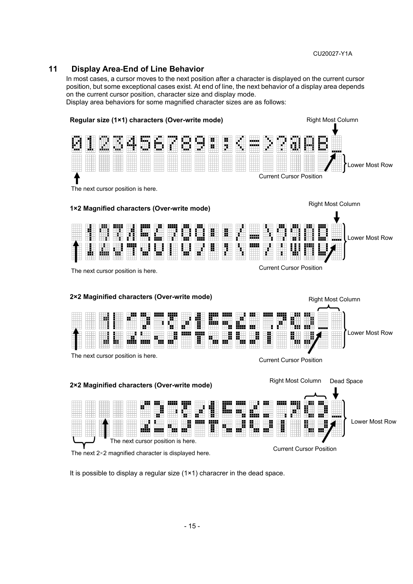CU20027-Y1A

# **11 Display Area-End of Line Behavior**

In most cases, a cursor moves to the next position after a character is displayed on the current cursor position, but some exceptional cases exist. At end of line, the next behavior of a display area depends on the current cursor position, character size and display mode.

Display area behaviors for some magnified character sizes are as follows:



It is possible to display a regular size (1×1) characrer in the dead space.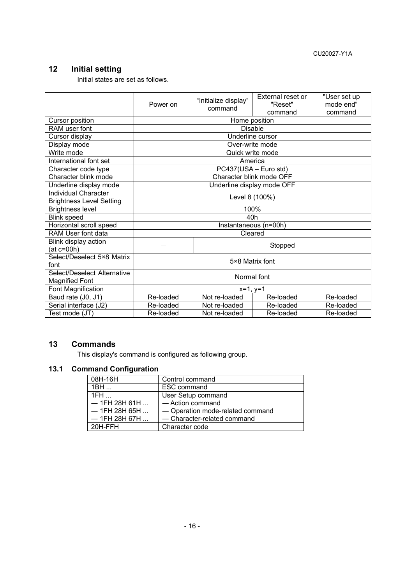# **12 Initial setting**

Initial states are set as follows.

|                                                      | Power on        | "Initialize display"<br>command | External reset or<br>"Reset"<br>command | "User set up<br>mode end"<br>command |
|------------------------------------------------------|-----------------|---------------------------------|-----------------------------------------|--------------------------------------|
| Cursor position                                      |                 | Home position                   |                                         |                                      |
| RAM user font                                        |                 | <b>Disable</b>                  |                                         |                                      |
| Cursor display                                       |                 |                                 | Underline cursor                        |                                      |
| Display mode                                         |                 |                                 | Over-write mode                         |                                      |
| Write mode                                           |                 |                                 | Quick write mode                        |                                      |
| International font set                               |                 | America                         |                                         |                                      |
| Character code type                                  |                 |                                 | PC437(USA - Euro std)                   |                                      |
| Character blink mode                                 |                 |                                 | Character blink mode OFF                |                                      |
| Underline display mode                               |                 |                                 | Underline display mode OFF              |                                      |
| <b>Individual Character</b>                          | Level 8 (100%)  |                                 |                                         |                                      |
| <b>Brightness Level Setting</b>                      |                 |                                 |                                         |                                      |
| <b>Brightness level</b>                              | 100%            |                                 |                                         |                                      |
| <b>Blink speed</b>                                   | 40h             |                                 |                                         |                                      |
| Horizontal scroll speed                              |                 |                                 | Instantaneous (n=00h)                   |                                      |
| RAM User font data                                   |                 |                                 | Cleared                                 |                                      |
| Blink display action<br>$(at c=00h)$                 | Stopped         |                                 |                                         |                                      |
| Select/Deselect 5×8 Matrix<br>font                   | 5×8 Matrix font |                                 |                                         |                                      |
| Select/Deselect Alternative<br><b>Magnified Font</b> | Normal font     |                                 |                                         |                                      |
| Font Magnification                                   | $x=1, y=1$      |                                 |                                         |                                      |
| Baud rate (J0, J1)                                   | Re-loaded       | Not re-loaded                   | Re-loaded                               | Re-loaded                            |
| Serial interface (J2)                                | Re-loaded       | Not re-loaded                   | Re-loaded                               | Re-loaded                            |
| Test mode (JT)                                       | Re-loaded       | Not re-loaded                   | Re-loaded                               | Re-loaded                            |

# **13 Commands**

This display's command is configured as following group.

# **13.1 Command Configuration**

| 08H-16H            | Control command                  |
|--------------------|----------------------------------|
| 1BH                | <b>ESC</b> command               |
| $1FH$              | User Setup command               |
| $-$ 1FH 28H 61H    | - Action command                 |
| $-1$ FH 28H 65H    | - Operation mode-related command |
| $-$ 1FH 28H 67H $$ | - Character-related command      |
| 20H-FFH            | Character code                   |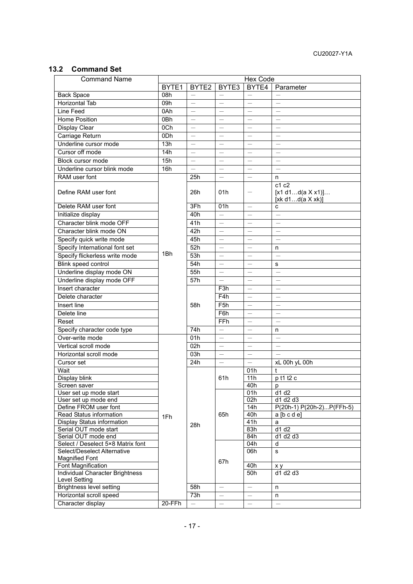# **13.2 Command Set**

| <b>Command Name</b>                            |        |                          |                                                      | Hex Code                 |                                                       |
|------------------------------------------------|--------|--------------------------|------------------------------------------------------|--------------------------|-------------------------------------------------------|
|                                                | BYTE1  | BYTE <sub>2</sub>        | BYTE3                                                | BYTE4                    | Parameter                                             |
| <b>Back Space</b>                              | 08h    |                          |                                                      |                          |                                                       |
| Horizontal Tab                                 | 09h    |                          |                                                      |                          |                                                       |
| Line Feed                                      | 0Ah    |                          |                                                      |                          |                                                       |
| Home Position                                  | 0Bh    |                          |                                                      |                          |                                                       |
| Display Clear                                  | 0Ch    |                          |                                                      |                          |                                                       |
| Carriage Return                                | 0Dh    |                          |                                                      |                          |                                                       |
| Underline cursor mode                          | 13h    |                          |                                                      |                          |                                                       |
| Cursor off mode                                | 14h    |                          |                                                      |                          |                                                       |
| Block cursor mode                              | 15h    |                          |                                                      |                          |                                                       |
|                                                |        |                          |                                                      |                          |                                                       |
| Underline cursor blink mode                    | 16h    |                          |                                                      |                          |                                                       |
| RAM user font                                  |        | 25h                      |                                                      |                          | n                                                     |
| Define RAM user font                           |        | 26h                      | 01h                                                  |                          | c1c2<br>[x1 d1d(a X x1)]<br>[xk d1 $d(a \times xk)$ ] |
| Delete RAM user font                           |        | 3Fh                      | 01h                                                  |                          | c                                                     |
| Initialize display                             |        | 40h                      |                                                      |                          |                                                       |
| Character blink mode OFF                       |        | 41h                      |                                                      |                          |                                                       |
| Character blink mode ON                        |        | 42h                      |                                                      |                          |                                                       |
| Specify quick write mode                       |        | 45h                      |                                                      |                          |                                                       |
| Specify International font set                 |        | 52h                      |                                                      |                          | n                                                     |
| Specify flickerless write mode                 | 1Bh    | 53h                      |                                                      |                          |                                                       |
| Blink speed control                            |        | 54h                      | $\overline{\phantom{0}}$                             | $\qquad \qquad$          | s                                                     |
| Underline display mode ON                      |        | 55h                      | $\overline{\phantom{0}}$                             |                          |                                                       |
| Underline display mode OFF                     |        | 57h                      | $\equiv$                                             |                          |                                                       |
| Insert character                               |        |                          | F <sub>3</sub> h                                     |                          |                                                       |
| Delete character                               |        |                          | F <sub>4</sub> h                                     |                          |                                                       |
| Insert line                                    |        | 58h                      | F <sub>5</sub> h                                     | $\equiv$                 |                                                       |
| Delete line                                    |        |                          | F <sub>6</sub> h                                     | $\equiv$                 |                                                       |
| Reset                                          |        |                          | FFh                                                  | $\overline{\phantom{m}}$ |                                                       |
| Specify character code type                    |        | 74h                      |                                                      |                          |                                                       |
| Over-write mode                                |        | 01h                      |                                                      |                          | n                                                     |
| Vertical scroll mode                           |        | 02h                      | $\overline{\phantom{0}}$<br>$\overline{\phantom{0}}$ |                          |                                                       |
|                                                |        |                          |                                                      |                          | $\overline{\phantom{m}}$                              |
| Horizontal scroll mode                         |        | 03h                      | $\overline{\phantom{0}}$                             | $\overline{\phantom{0}}$ |                                                       |
| Cursor set                                     |        | 24h                      | $\qquad \qquad$                                      |                          | xL 00h yL 00h                                         |
| Wait                                           |        |                          |                                                      | 01h                      | t                                                     |
| Display blink                                  |        |                          | 61h                                                  | 11h                      | p t1 t2 c                                             |
| Screen saver                                   |        |                          |                                                      | 40h<br>01h               | p<br>d1 d2                                            |
| User set up mode start<br>User set up mode end |        |                          |                                                      | 02h                      | d1 d2 d3                                              |
| Define FROM user font                          |        |                          |                                                      | 14h                      | P(20h-1) P(20h-2)P(FFh-5)                             |
| Read Status information                        |        |                          | 65h                                                  | 40h                      | a [b c d e]                                           |
| Display Status information                     | 1Fh    |                          |                                                      | 41h                      | a                                                     |
| Serial OUT mode start                          |        | 28h                      |                                                      | 83h                      | d1 d2                                                 |
| Serial OUT mode end                            |        |                          |                                                      | 84h                      | d1 d2 d3                                              |
| Select / Deselect 5×8 Matrix font              |        |                          |                                                      | 04h                      | d                                                     |
| Select/Deselect Alternative                    |        |                          |                                                      | 06h                      | s                                                     |
| <b>Magnified Font</b>                          |        |                          | 67h                                                  |                          |                                                       |
| Font Magnification                             |        |                          |                                                      | 40h                      | хy                                                    |
| Individual Character Brightness                |        |                          |                                                      | 50h                      | d1 d2 d3                                              |
| Level Setting                                  |        |                          |                                                      |                          |                                                       |
| <b>Brightness level setting</b>                |        | 58h                      | $\overline{\phantom{a}}$                             | $\overline{\phantom{m}}$ | n                                                     |
| Horizontal scroll speed                        |        | 73h                      | $\overline{\phantom{0}}$                             | $\overline{\phantom{m}}$ | n                                                     |
| Character display                              | 20-FFh | $\overline{\phantom{0}}$ | $\overline{\phantom{0}}$                             | $\overline{\phantom{m}}$ | $\overline{\phantom{m}}$                              |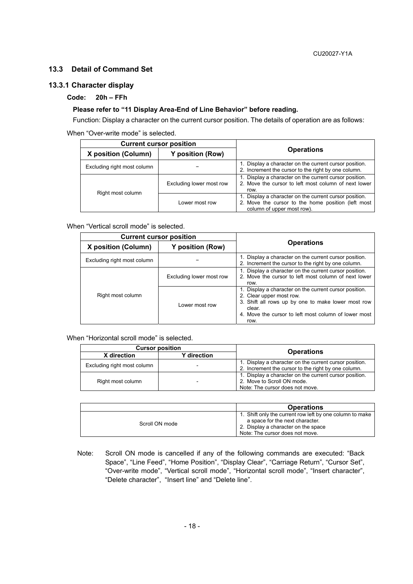### **13.3 Detail of Command Set**

#### **13.3.1 Character display**

#### **Code: 20h – FFh**

#### **Please refer to "11 Display Area-End of Line Behavior" before reading.**

Function: Display a character on the current cursor position. The details of operation are as follows:

When "Over-write mode" is selected.

| <b>Current cursor position</b> |                          |                                                                                                                                            |
|--------------------------------|--------------------------|--------------------------------------------------------------------------------------------------------------------------------------------|
| X position (Column)            | Y position (Row)         | <b>Operations</b>                                                                                                                          |
| Excluding right most column    |                          | 1. Display a character on the current cursor position.<br>2. Increment the cursor to the right by one column.                              |
| Right most column              | Excluding lower most row | 1. Display a character on the current cursor position.<br>2. Move the cursor to left most column of next lower<br>row.                     |
|                                | Lower most row           | 1. Display a character on the current cursor position.<br>2. Move the cursor to the home position (left most<br>column of upper most row). |

#### When "Vertical scroll mode" is selected.

| <b>Current cursor position</b> |                          |                                                                                                                                                                                                                    |
|--------------------------------|--------------------------|--------------------------------------------------------------------------------------------------------------------------------------------------------------------------------------------------------------------|
| X position (Column)            | Y position (Row)         | <b>Operations</b>                                                                                                                                                                                                  |
| Excluding right most column    |                          | 1. Display a character on the current cursor position.<br>2. Increment the cursor to the right by one column.                                                                                                      |
|                                | Excluding lower most row | 1. Display a character on the current cursor position.<br>2. Move the cursor to left most column of next lower<br>row.                                                                                             |
| Right most column              | Lower most row           | 1. Display a character on the current cursor position.<br>2. Clear upper most row.<br>3. Shift all rows up by one to make lower most row<br>clear.<br>4. Move the cursor to left most column of lower most<br>row. |

# When "Horizontal scroll mode" is selected.

| <b>Cursor position</b>      |             |                                                                                                                         |  |
|-----------------------------|-------------|-------------------------------------------------------------------------------------------------------------------------|--|
| X direction                 | Y direction | <b>Operations</b>                                                                                                       |  |
| Excluding right most column |             | 1. Display a character on the current cursor position.<br>2. Increment the cursor to the right by one column.           |  |
| Right most column           |             | 1. Display a character on the current cursor position.<br>2. Move to Scroll ON mode.<br>Note: The cursor does not move. |  |

|                | <b>Operations</b>                                                                                                                                                     |
|----------------|-----------------------------------------------------------------------------------------------------------------------------------------------------------------------|
| Scroll ON mode | 1. Shift only the current row left by one column to make<br>a space for the next character.<br>2. Display a character on the space<br>Note: The cursor does not move. |

Note: Scroll ON mode is cancelled if any of the following commands are executed: "Back Space", "Line Feed", "Home Position", "Display Clear", "Carriage Return", "Cursor Set", "Over-write mode", "Vertical scroll mode", "Horizontal scroll mode", "Insert character", "Delete character", "Insert line" and "Delete line".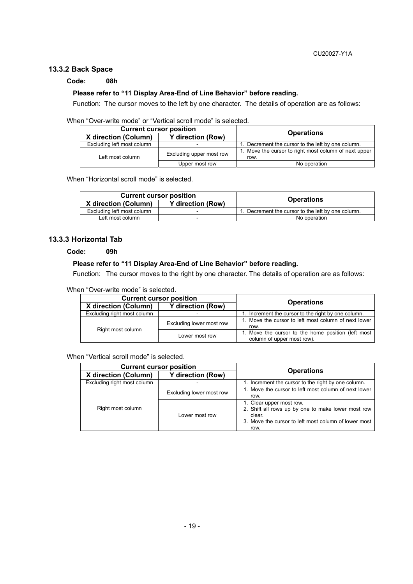#### **13.3.2 Back Space**

#### **Code: 08h**

# **Please refer to "11 Display Area-End of Line Behavior" before reading.**

Function: The cursor moves to the left by one character. The details of operation are as follows:

#### When "Over-write mode" or "Vertical scroll mode" is selected.

| <b>Current cursor position</b> |                          | <b>Operations</b>                                             |
|--------------------------------|--------------------------|---------------------------------------------------------------|
| <b>X</b> direction (Column)    | Y direction (Row)        |                                                               |
| Excluding left most column     |                          | Decrement the cursor to the left by one column.               |
| Left most column               | Excluding upper most row | 1. Move the cursor to right most column of next upper<br>row. |
|                                | Upper most row           | No operation                                                  |

When "Horizontal scroll mode" is selected.

| <b>Current cursor position</b> |                   |                                                 |
|--------------------------------|-------------------|-------------------------------------------------|
| X direction (Column)           | Y direction (Row) | <b>Operations</b>                               |
| Excluding left most column     |                   | Decrement the cursor to the left by one column. |
| Left most column               |                   | No operation                                    |

#### **13.3.3 Horizontal Tab**

#### **Code: 09h**

#### **Please refer to "11 Display Area-End of Line Behavior" before reading.**

Function: The cursor moves to the right by one character. The details of operation are as follows:

#### When "Over-write mode" is selected.

| <b>Current cursor position</b> |                          | <b>Operations</b>                                                                |
|--------------------------------|--------------------------|----------------------------------------------------------------------------------|
| X direction (Column)           | <b>Y</b> direction (Row) |                                                                                  |
| Excluding right most column    |                          | 1. Increment the cursor to the right by one column.                              |
|                                | Excluding lower most row | 1. Move the cursor to left most column of next lower<br>row.                     |
| Right most column              | Lower most row           | 1. Move the cursor to the home position (left most<br>column of upper most row). |

When "Vertical scroll mode" is selected.

| <b>Current cursor position</b> |                          |                                                                                                                                                          |
|--------------------------------|--------------------------|----------------------------------------------------------------------------------------------------------------------------------------------------------|
| X direction (Column)           | <b>Y</b> direction (Row) | <b>Operations</b>                                                                                                                                        |
| Excluding right most column    |                          | 1. Increment the cursor to the right by one column.                                                                                                      |
|                                | Excluding lower most row | 1. Move the cursor to left most column of next lower<br>row.                                                                                             |
| Right most column              | Lower most row           | 1. Clear upper most row.<br>2. Shift all rows up by one to make lower most row<br>clear.<br>3. Move the cursor to left most column of lower most<br>row. |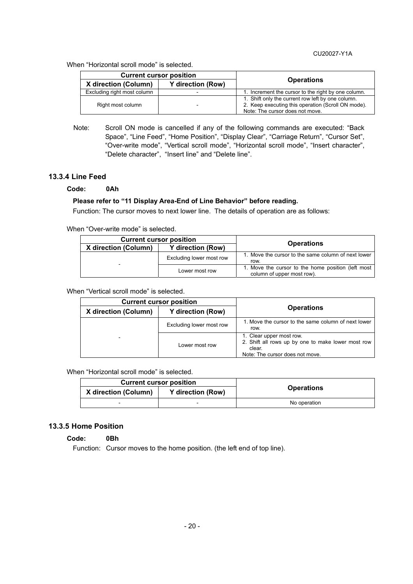#### CU20027-Y1A

When "Horizontal scroll mode" is selected.

|                                                  | <b>Current cursor position</b> |                                                                                                                                            |  |
|--------------------------------------------------|--------------------------------|--------------------------------------------------------------------------------------------------------------------------------------------|--|
| <b>Y</b> direction (Row)<br>X direction (Column) |                                | <b>Operations</b>                                                                                                                          |  |
| Excluding right most column                      |                                | 1. Increment the cursor to the right by one column.                                                                                        |  |
| Right most column                                |                                | 1. Shift only the current row left by one column.<br>2. Keep executing this operation (Scroll ON mode).<br>Note: The cursor does not move. |  |

Note: Scroll ON mode is cancelled if any of the following commands are executed: "Back Space", "Line Feed", "Home Position", "Display Clear", "Carriage Return", "Cursor Set", "Over-write mode", "Vertical scroll mode", "Horizontal scroll mode", "Insert character", "Delete character", "Insert line" and "Delete line".

#### **13.3.4 Line Feed**

#### **Code: 0Ah**

#### **Please refer to "11 Display Area-End of Line Behavior" before reading.**

Function: The cursor moves to next lower line. The details of operation are as follows:

When "Over-write mode" is selected.

| <b>Current cursor position</b> |                          | <b>Operations</b>                                                                |  |
|--------------------------------|--------------------------|----------------------------------------------------------------------------------|--|
| X direction (Column)           | Y direction (Row)        |                                                                                  |  |
|                                | Excluding lower most row | 1. Move the cursor to the same column of next lower<br>row.                      |  |
|                                | Lower most row           | 1. Move the cursor to the home position (left most<br>column of upper most row). |  |

#### When "Vertical scroll mode" is selected.

|                                           | <b>Current cursor position</b> |                                                                                                                             |  |
|-------------------------------------------|--------------------------------|-----------------------------------------------------------------------------------------------------------------------------|--|
| X direction (Column)<br>Y direction (Row) |                                | <b>Operations</b>                                                                                                           |  |
|                                           | Excluding lower most row       | 1. Move the cursor to the same column of next lower<br>row.                                                                 |  |
| $\overline{\phantom{a}}$                  | Lower most row                 | 1. Clear upper most row.<br>2. Shift all rows up by one to make lower most row<br>clear.<br>Note: The cursor does not move. |  |

When "Horizontal scroll mode" is selected.

|                      | <b>Current cursor position</b> |                   |
|----------------------|--------------------------------|-------------------|
| X direction (Column) | <b>Y</b> direction (Row)       | <b>Operations</b> |
|                      |                                | No operation      |

#### **13.3.5 Home Position**

#### **Code: 0Bh**

Function: Cursor moves to the home position. (the left end of top line).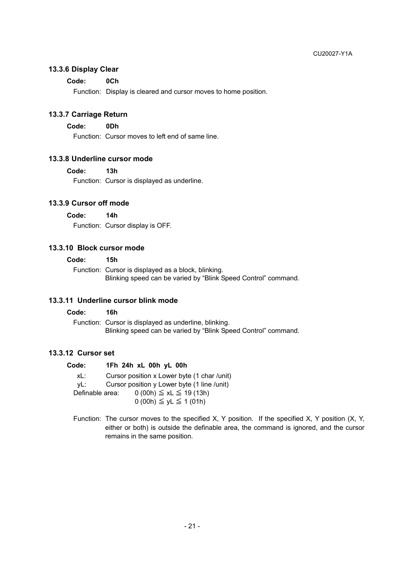#### **13.3.6 Display Clear**

### **Code: 0Ch**

Function: Display is cleared and cursor moves to home position.

#### **13.3.7 Carriage Return**

#### **Code: 0Dh**

Function: Cursor moves to left end of same line.

# **13.3.8 Underline cursor mode**

#### **Code: 13h**

Function: Cursor is displayed as underline.

#### **13.3.9 Cursor off mode**

**Code: 14h**  Function: Cursor display is OFF.

#### **13.3.10 Block cursor mode**

#### **Code: 15h**

Function: Cursor is displayed as a block, blinking. Blinking speed can be varied by "Blink Speed Control" command.

#### **13.3.11 Underline cursor blink mode**

**Code: 16h**  Function: Cursor is displayed as underline, blinking. Blinking speed can be varied by "Blink Speed Control" command.

# **13.3.12 Cursor set**

| Code:           | 1Fh 24h xL 00h yL 00h                       |
|-----------------|---------------------------------------------|
| xL:             | Cursor position x Lower byte (1 char /unit) |
| vL:             | Cursor position y Lower byte (1 line /unit) |
| Definable area: | $0(00h) \le xL \le 19(13h)$                 |
|                 | $0(00h) \leq yL \leq 1(01h)$                |

Function: The cursor moves to the specified X, Y position. If the specified X, Y position (X, Y, either or both) is outside the definable area, the command is ignored, and the cursor remains in the same position.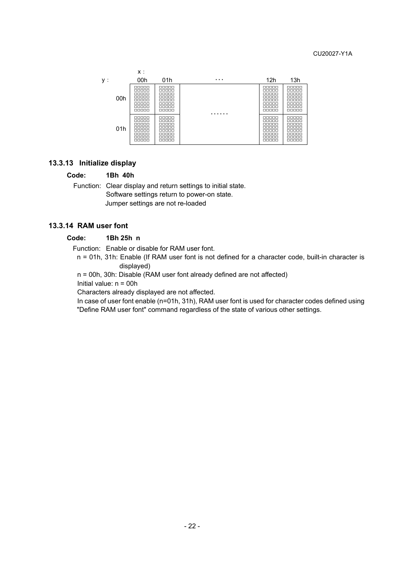#### CU20027-Y1A



# **13.3.13 Initialize display**

# **Code: 1Bh 40h**

Function: Clear display and return settings to initial state. Software settings return to power-on state. Jumper settings are not re-loaded

# **13.3.14 RAM user font**

#### **Code: 1Bh 25h n**

Function: Enable or disable for RAM user font.

n = 01h, 31h: Enable (If RAM user font is not defined for a character code, built-in character is displayed)

n = 00h, 30h: Disable (RAM user font already defined are not affected)

Initial value: n = 00h

Characters already displayed are not affected.

 In case of user font enable (n=01h, 31h), RAM user font is used for character codes defined using "Define RAM user font" command regardless of the state of various other settings.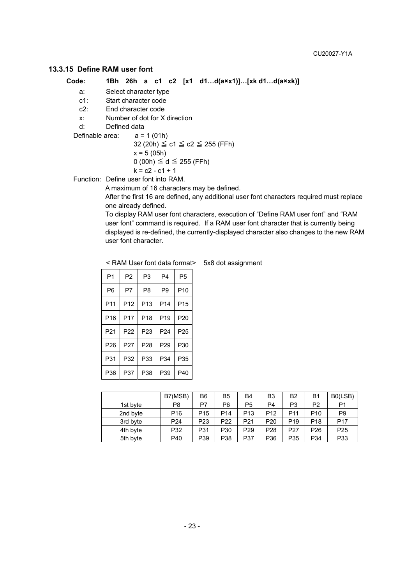# **13.3.15 Define RAM user font**

**Code: 1Bh 26h a c1 c2 [x1 d1…d(a×x1)]…[xk d1…d(a×xk)]** 

- a: Select character type
- c1: Start character code
- c2: End character code
- x: Number of dot for X direction
- d: Defined data

Definable area:  $a = 1 (01h)$ 

\n
$$
32 \, (20h) \leq c1 \leq c2 \leq 255 \, (\text{FFh})
$$
\n

\n\n $x = 5 \, (05h)$ \n

\n\n $0 \, (00h) \leq d \leq 255 \, (\text{FFh})$ \n

\n\n $k = c2 - c1 + 1$ \n

Function: Define user font into RAM.

A maximum of 16 characters may be defined.

After the first 16 are defined, any additional user font characters required must replace one already defined.

To display RAM user font characters, execution of "Define RAM user font" and "RAM user font" command is required. If a RAM user font character that is currently being displayed is re-defined, the currently-displayed character also changes to the new RAM user font character.

| < RAM User font data format> | 5x8 dot assignment |
|------------------------------|--------------------|
|------------------------------|--------------------|

| P <sub>1</sub>  | P <sub>2</sub>  | P3              | P <sub>4</sub>  | P <sub>5</sub>  |
|-----------------|-----------------|-----------------|-----------------|-----------------|
| P6              | P7              | P8              | P <sub>9</sub>  | P <sub>10</sub> |
| P <sub>11</sub> | P <sub>12</sub> | P <sub>13</sub> | P14             | P <sub>15</sub> |
| P <sub>16</sub> | P <sub>17</sub> | P <sub>18</sub> | P <sub>19</sub> | P <sub>20</sub> |
| P21             | P <sub>22</sub> | P <sub>23</sub> | P <sub>24</sub> | P <sub>25</sub> |
| P <sub>26</sub> | P <sub>27</sub> | P <sub>28</sub> | P <sub>29</sub> | P30             |
| P31             | P32             | P33             | P34             | P35             |
| P36             | P37             | P38             | P39             | P40             |

|          | B7(MSB)         | B6              | B5              | B4              | B3              | B <sub>2</sub>  | <b>B1</b>       | B0(LSB)         |
|----------|-----------------|-----------------|-----------------|-----------------|-----------------|-----------------|-----------------|-----------------|
| 1st byte | P8              | P7              | P <sub>6</sub>  | P5              | P4              | P3              | P <sub>2</sub>  | P1              |
| 2nd byte | P16             | P <sub>15</sub> | P <sub>14</sub> | P13             | P <sub>12</sub> | P <sub>11</sub> | P <sub>10</sub> | P <sub>9</sub>  |
| 3rd byte | P <sub>24</sub> | P <sub>23</sub> | P <sub>22</sub> | P21             | P <sub>20</sub> | P <sub>19</sub> | P <sub>18</sub> | P <sub>17</sub> |
| 4th byte | P32             | P31             | P30             | P <sub>29</sub> | P <sub>28</sub> | P <sub>27</sub> | P <sub>26</sub> | P <sub>25</sub> |
| 5th byte | P40             | P39             | P38             | P37             | P36             | P35             | P34             | P33             |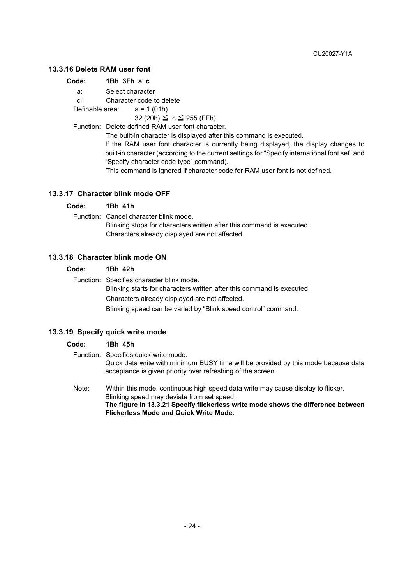# **13.3.16 Delete RAM user font**

**Code: 1Bh 3Fh a c** 

| a: | Select character                                                                               |
|----|------------------------------------------------------------------------------------------------|
| C. | Character code to delete                                                                       |
|    | Definable area: $a = 1 (01h)$                                                                  |
|    | 32 (20h) $\leq c \leq 255$ (FFh)                                                               |
|    | Function: Delete defined RAM user font character.                                              |
|    | The built-in character is displayed after this command is executed.                            |
|    | If the RAM user font character is currently being displayed, the display changes to            |
|    | built-in character (according to the current settings for "Specify international font set" and |
|    | "Specify character code type" command).                                                        |
|    | This command is ignored if character code for RAM user font is not defined.                    |

# **13.3.17 Character blink mode OFF**

| Code: | 1Bh 41h                                                               |
|-------|-----------------------------------------------------------------------|
|       | Function: Cancel character blink mode.                                |
|       | Blinking stops for characters written after this command is executed. |
|       | Characters already displayed are not affected.                        |

# **13.3.18 Character blink mode ON**

| Code: | 1Bh 42h                                                                                                             |
|-------|---------------------------------------------------------------------------------------------------------------------|
|       | Function: Specifies character blink mode.<br>Blinking starts for characters written after this command is executed. |
|       | Characters already displayed are not affected.                                                                      |
|       | Blinking speed can be varied by "Blink speed control" command.                                                      |

# **13.3.19 Specify quick write mode**

#### **Code: 1Bh 45h**

Function: Specifies quick write mode. Quick data write with minimum BUSY time will be provided by this mode because data acceptance is given priority over refreshing of the screen.

Note: Within this mode, continuous high speed data write may cause display to flicker. Blinking speed may deviate from set speed. **The figure in 13.3.21 Specify flickerless write mode shows the difference between Flickerless Mode and Quick Write Mode.**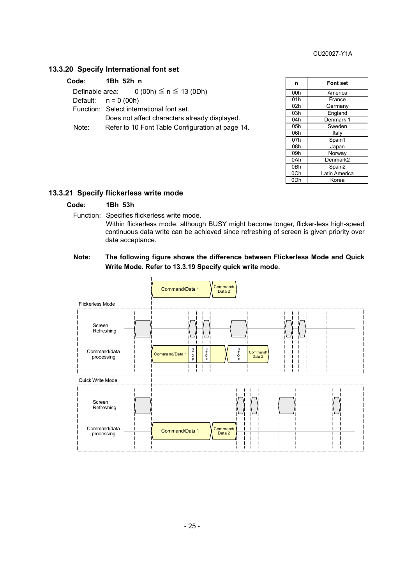#### CU20027-Y1A

# **13.3.20 Specify International font set**

| Code: | 1Bh 52h n                                        |
|-------|--------------------------------------------------|
|       | Definable area: $0(00h) \le n \le 13(00h)$       |
|       | Default: $n = 0 (00h)$                           |
|       | Function: Select international font set.         |
|       | Does not affect characters already displayed.    |
| Note: | Refer to 10 Font Table Configuration at page 14. |
|       |                                                  |

| n               | <b>Font set</b>      |
|-----------------|----------------------|
| 00h             | America              |
| 01h             | France               |
| 02h             | Germany              |
| 03h             | England              |
| 04h             | Denmark 1            |
| 05h             | Sweden               |
| 06h             | Italy                |
| 07h             | Spain1               |
| 08h             | Japan                |
| 09h             | Norway               |
| 0Ah             | Denmark <sub>2</sub> |
| 0 <sub>Bh</sub> | Spain2               |
| 0Ch             | Latin America        |
| 0Dh             | Korea                |

#### **13.3.21 Specify flickerless write mode**

#### **Code: 1Bh 53h**

Function: Specifies flickerless write mode.

 Within flickerless mode, although BUSY might become longer, flicker-less high-speed continuous data write can be achieved since refreshing of screen is given priority over data acceptance.

# **Note: The following figure shows the difference between Flickerless Mode and Quick Write Mode. Refer to 13.3.19 Specify quick write mode.**

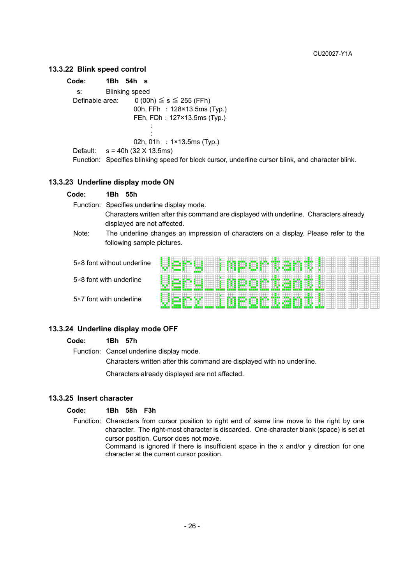# **13.3.22 Blink speed control**

**Code: 1Bh 54h s**  s: Blinking speed Definable area:  $0(00h) \leq s \leq 255$  (FFh) 00h, FFh :128×13.5ms (Typ.) FEh, FDh:127×13.5ms (Typ.) : : 02h, 01h : 1×13.5ms (Typ.) Default: s = 40h (32 X 13.5ms) Function: Specifies blinking speed for block cursor, underline cursor blink, and character blink.

# **13.3.23 Underline display mode ON**

| Code: | 1Bh<br>55h                                                                                                            |  |  |  |  |
|-------|-----------------------------------------------------------------------------------------------------------------------|--|--|--|--|
|       | Function: Specifies underline display mode.                                                                           |  |  |  |  |
|       | Characters written after this command are displayed with underline. Characters already<br>displayed are not affected. |  |  |  |  |
| Note: | The underline changes an impression of characters on a display. Please refer to the<br>following sample pictures.     |  |  |  |  |
|       | $5\times8$ font without underline                                                                                     |  |  |  |  |
|       | $5\times8$ font with underline                                                                                        |  |  |  |  |

Emil Badi Excel anno 1993 Badii Badii Casa Badii Labo Emil Badii Labo anno and <mark>a base pool ook you when you</mark>

# **13.3.24 Underline display mode OFF**

5×7 font with underline

#### **Code: 1Bh 57h**

Function: Cancel underline display mode.

Characters written after this command are displayed with no underline.

M

Characters already displayed are not affected.

#### **13.3.25 Insert character**

#### **Code: 1Bh 58h F3h**

Function: Characters from cursor position to right end of same line move to the right by one character. The right-most character is discarded. One-character blank (space) is set at cursor position. Cursor does not move.

Command is ignored if there is insufficient space in the x and/or y direction for one character at the current cursor position.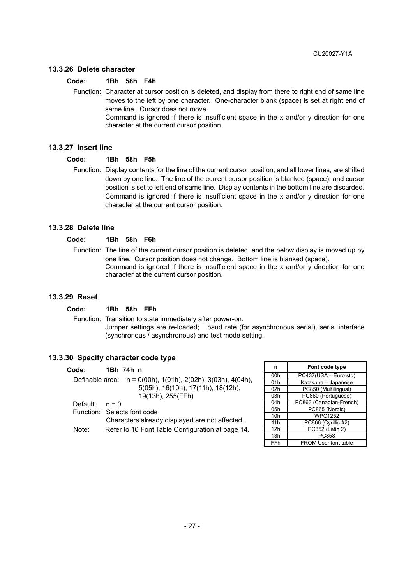#### **13.3.26 Delete character**

# **Code: 1Bh 58h F4h**

- Function: Character at cursor position is deleted, and display from there to right end of same line moves to the left by one character. One-character blank (space) is set at right end of same line. Cursor does not move.
	- Command is ignored if there is insufficient space in the x and/or y direction for one character at the current cursor position.

#### **13.3.27 Insert line**

#### **Code: 1Bh 58h F5h**

Function: Display contents for the line of the current cursor position, and all lower lines, are shifted down by one line. The line of the current cursor position is blanked (space), and cursor position is set to left end of same line. Display contents in the bottom line are discarded. Command is ignored if there is insufficient space in the x and/or y direction for one character at the current cursor position.

#### **13.3.28 Delete line**

#### **Code: 1Bh 58h F6h**

Function: The line of the current cursor position is deleted, and the below display is moved up by one line. Cursor position does not change. Bottom line is blanked (space). Command is ignored if there is insufficient space in the x and/or y direction for one character at the current cursor position.

#### **13.3.29 Reset**

#### **Code: 1Bh 58h FFh**

Function: Transition to state immediately after power-on. Jumper settings are re-loaded; baud rate (for asynchronous serial), serial interface (synchronous / asynchronous) and test mode setting.

#### **13.3.30 Specify character code type**

| Code:                       | 1Bh 74h n |                                                                |
|-----------------------------|-----------|----------------------------------------------------------------|
|                             |           | Definable area: $n = 0(00h)$ , 1(01h), 2(02h), 3(03h), 4(04h), |
|                             |           | 5(05h), 16(10h), 17(11h), 18(12h),                             |
|                             |           | 19(13h), 255(FFh)                                              |
| Default: I                  | $n = 0$   |                                                                |
| Function: Selects font code |           |                                                                |
|                             |           | Characters already displayed are not affected.                 |
| Note:                       |           | Refer to 10 Font Table Configuration at page 14.               |
|                             |           |                                                                |

| n               | Font code type               |
|-----------------|------------------------------|
| 00h             | PC437(USA - Euro std)        |
| 01h             | Katakana - Japanese          |
| 02h             | PC850 (Multilingual)         |
| 03h             | PC860 (Portuguese)           |
| 04h             | PC863 (Canadian-French)      |
| 05h             | PC865 (Nordic)               |
| 10 <sub>h</sub> | <b>WPC1252</b>               |
| 11h             | PC866 (Cyrillic #2)          |
| 12h             | $\overline{PC}852$ (Latin 2) |
| 13h             | PC858                        |
| FFh             | <b>FROM User font table</b>  |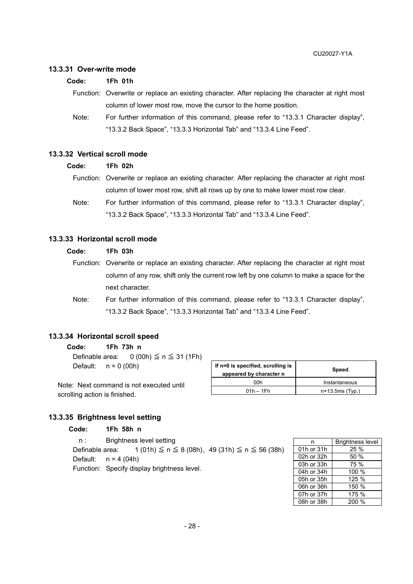#### **13.3.31 Over-write mode**

| 1Fh 01h                                                                                           |
|---------------------------------------------------------------------------------------------------|
| Function: Overwrite or replace an existing character. After replacing the character at right most |
| column of lower most row, move the cursor to the home position.                                   |
| For further information of this command, please refer to "13.3.1 Character display",              |
| "13.3.2 Back Space", "13.3.3 Horizontal Tab" and "13.3.4 Line Feed".                              |
|                                                                                                   |

#### **13.3.32 Vertical scroll mode**

#### **Code: 1Fh 02h**

- Function: Overwrite or replace an existing character. After replacing the character at right most column of lower most row, shift all rows up by one to make lower most row clear.
- Note: For further information of this command, please refer to "13.3.1 Character display", "13.3.2 Back Space", "13.3.3 Horizontal Tab" and "13.3.4 Line Feed".

# **13.3.33 Horizontal scroll mode**

#### **Code: 1Fh 03h**

- Function: Overwrite or replace an existing character. After replacing the character at right most column of any row, shift only the current row left by one column to make a space for the next character.
- Note: For further information of this command, please refer to "13.3.1 Character display", "13.3.2 Back Space", "13.3.3 Horizontal Tab" and "13.3.4 Line Feed".

#### **13.3.34 Horizontal scroll speed**

**Code: 1Fh 73h n**  Definable area:  $0 (00h) \le n \le 31 (1Fh)$ Default:  $n = 0$  (00h)

Note: Next command is not executed until scrolling action is finished.

| If n=0 is specified, scrolling is<br>appeared by character n | <b>Speed</b>              |
|--------------------------------------------------------------|---------------------------|
| 00h                                                          | Instantaneous             |
| $01h - 1Fh$                                                  | $n \times 13.5$ ms (Typ.) |

# **13.3.35 Brightness level setting**

#### **Code: 1Fh 58h n**

 n : Brightness level setting Definable area: 1 (01h)  $\leq$  n  $\leq$  8 (08h), 49 (31h)  $\leq$  n  $\leq$  56 (38h) Default:  $n = 4 (04h)$ Function: Specify display brightness level.

| n          | <b>Brightness level</b> |
|------------|-------------------------|
| 01h or 31h | 25 %                    |
| 02h or 32h | 50%                     |
| 03h or 33h | 75 %                    |
| 04h or 34h | 100 %                   |
| 05h or 35h | 125 %                   |
| 06h or 36h | 150 %                   |
| 07h or 37h | 175 %                   |
| 08h or 38h | 200%                    |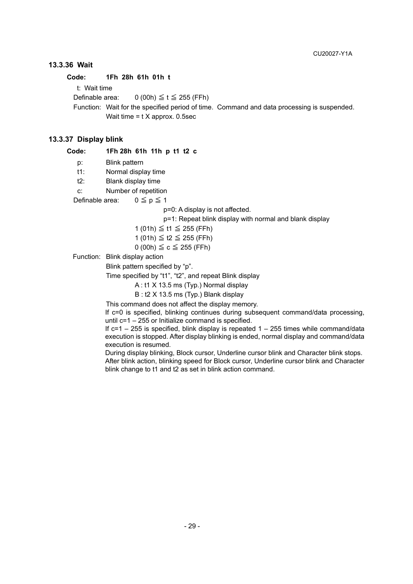# **13.3.36 Wait**

**Code: 1Fh 28h 61h 01h t** 

t: Wait time

Definable area:  $0(00h) \le t \le 255$  (FFh)

Function: Wait for the specified period of time. Command and data processing is suspended. Wait time  $=$  t  $X$  approx. 0.5sec

#### **13.3.37 Display blink**

| Code: | 1Fh 28h 61h 11h p t1 t2 c |  |  |  |  |  |  |
|-------|---------------------------|--|--|--|--|--|--|
|-------|---------------------------|--|--|--|--|--|--|

- p: Blink pattern
- t1: Normal display time
- t2: Blank display time
- c: Number of repetition

Definable area:  $0 \leq p \leq 1$ 

p=0: A display is not affected.

p=1: Repeat blink display with normal and blank display

- 1 (01h) ≦ t1 ≦ 255 (FFh)
- 1 (01h) ≦ t2 ≦ 255 (FFh)
- 0 (00h)  $\leq c \leq 255$  (FFh)

Function: Blink display action

Blink pattern specified by "p".

Time specified by "t1", "t2", and repeat Blink display

A : t1 X 13.5 ms (Typ.) Normal display

B : t2 X 13.5 ms (Typ.) Blank display

This command does not affect the display memory.

If c=0 is specified, blinking continues during subsequent command/data processing, until c=1 – 255 or Initialize command is specified.

If  $c=1 - 255$  is specified, blink display is repeated  $1 - 255$  times while command/data execution is stopped. After display blinking is ended, normal display and command/data execution is resumed.

During display blinking, Block cursor, Underline cursor blink and Character blink stops. After blink action, blinking speed for Block cursor, Underline cursor blink and Character blink change to t1 and t2 as set in blink action command.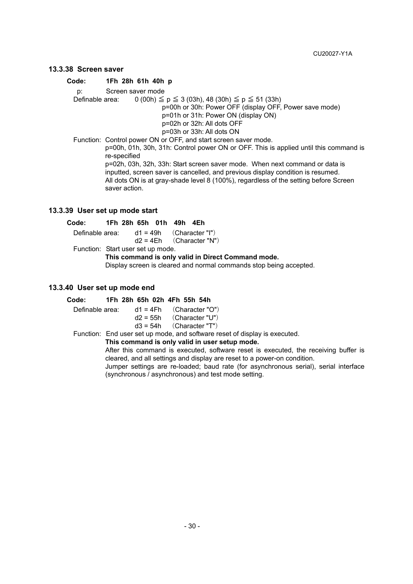#### **13.3.38 Screen saver**

| Code:           | 1Fh 28h 61h 40h p                                                                                                                                                                                                                                                                                                                                                                                                                                  |
|-----------------|----------------------------------------------------------------------------------------------------------------------------------------------------------------------------------------------------------------------------------------------------------------------------------------------------------------------------------------------------------------------------------------------------------------------------------------------------|
| p:              | Screen saver mode                                                                                                                                                                                                                                                                                                                                                                                                                                  |
| Definable area: | 0 (00h) $\leq p \leq 3$ (03h), 48 (30h) $\leq p \leq 51$ (33h)<br>p=00h or 30h: Power OFF (display OFF, Power save mode)<br>p=01h or 31h: Power ON (display ON)<br>p=02h or 32h: All dots OFF<br>p=03h or 33h: All dots ON                                                                                                                                                                                                                         |
|                 | Function: Control power ON or OFF, and start screen saver mode.<br>p=00h, 01h, 30h, 31h: Control power ON or OFF. This is applied until this command is<br>re-specified<br>p=02h, 03h, 32h, 33h: Start screen saver mode. When next command or data is<br>inputted, screen saver is cancelled, and previous display condition is resumed.<br>All dots ON is at gray-shade level 8 (100%), regardless of the setting before Screen<br>saver action. |
|                 | 13.3.39 User set up mode start                                                                                                                                                                                                                                                                                                                                                                                                                     |
|                 | 1FL AOL CFL A1L 1AL                                                                                                                                                                                                                                                                                                                                                                                                                                |

| Code:                                      | 1Fh 28h 65h 01h 49h 4Eh                            |  |                            |  |                                                                    |  |
|--------------------------------------------|----------------------------------------------------|--|----------------------------|--|--------------------------------------------------------------------|--|
| Definable area: $d1 = 49h$ (Character "I") |                                                    |  |                            |  |                                                                    |  |
|                                            |                                                    |  | $d2 = 4Eh$ (Character "N") |  |                                                                    |  |
| Function: Start user set up mode.          |                                                    |  |                            |  |                                                                    |  |
|                                            | This command is only valid in Direct Command mode. |  |                            |  |                                                                    |  |
|                                            |                                                    |  |                            |  | Display screen is cleared and normal commands stop being accepted. |  |
|                                            |                                                    |  |                            |  |                                                                    |  |

# **13.3.40 User set up mode end**

**Code: 1Fh 28h 65h 02h 4Fh 55h 54h** 

Definable area: d1 = 4Fh (Character "O")  $d2 = 55h$  (Character "U")<br> $d3 = 54h$  (Character "T")

| $d3 = 54h$ (Character "T") |  |
|----------------------------|--|
|----------------------------|--|

Function: End user set up mode, and software reset of display is executed.

# **This command is only valid in user setup mode.**

After this command is executed, software reset is executed, the receiving buffer is cleared, and all settings and display are reset to a power-on condition.

Jumper settings are re-loaded; baud rate (for asynchronous serial), serial interface (synchronous / asynchronous) and test mode setting.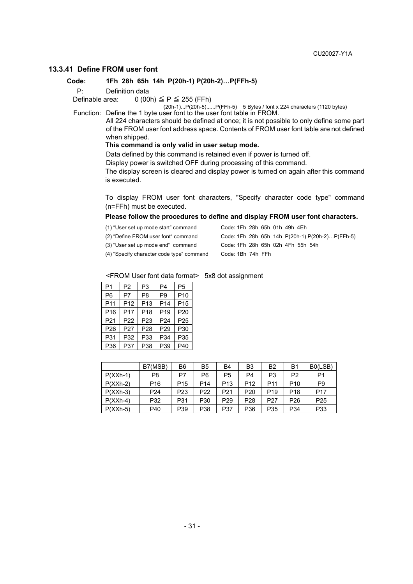#### **13.3.41 Define FROM user font**

#### **Code: 1Fh 28h 65h 14h P(20h-1) P(20h-2)…P(FFh-5)**

P: Definition data

Definable area:  $0(00h) \le P \le 255$  (FFh)

 (20h-1)...P(20h-5)......P(FFh-5) 5 Bytes / font x 224 characters (1120 bytes) Function: Define the 1 byte user font to the user font table in FROM.

All 224 characters should be defined at once; it is not possible to only define some part of the FROM user font address space. Contents of FROM user font table are not defined when shipped.

#### **This command is only valid in user setup mode.**

Data defined by this command is retained even if power is turned off.

Display power is switched OFF during processing of this command.

The display screen is cleared and display power is turned on again after this command is executed.

To display FROM user font characters, "Specify character code type" command (n=FFh) must be executed.

#### **Please follow the procedures to define and display FROM user font characters.**

(1) "User set up mode start" command Code: 1Fh 28h 65h 01h 49h 4Eh

- (2) "Define FROM user font" command Code: 1Fh 28h 65h 14h P(20h-1) P(20h-2)…P(FFh-5)
- (3) "User set up mode end" command Code: 1Fh 28h 65h 02h 4Fh 55h 54h
- (4) "Specify character code type" command Code: 1Bh 74h FFh
- 

| P <sub>1</sub>  | P <sub>2</sub>  | P <sub>3</sub>  | P4              | <b>P5</b>       |
|-----------------|-----------------|-----------------|-----------------|-----------------|
| P <sub>6</sub>  | P7              | P8              | P <sub>9</sub>  | P <sub>10</sub> |
| P11             | P <sub>12</sub> | P <sub>13</sub> | P <sub>14</sub> | P <sub>15</sub> |
| P <sub>16</sub> | P <sub>17</sub> | P <sub>18</sub> | P <sub>19</sub> | P <sub>20</sub> |
| P <sub>21</sub> | P <sub>22</sub> | P <sub>23</sub> | P <sub>24</sub> | P <sub>25</sub> |
| P <sub>26</sub> | P27             | P <sub>28</sub> | P <sub>29</sub> | P30             |
| P31             | P32             | P33             | P34             | P35             |
| P36             | P37             | P38             | P39             | P40             |

#### <FROM User font data format> 5x8 dot assignment

|            | B7(MSB)        | B6  | B5              | B4              | B3              | B2              | Β1              | B0(LSB)         |
|------------|----------------|-----|-----------------|-----------------|-----------------|-----------------|-----------------|-----------------|
| $P(XXh-1)$ | P <sub>8</sub> | P7  | P6              | P <sub>5</sub>  | P4              | P3              | P <sub>2</sub>  | P1              |
| $P(XXh-2)$ | P16            | P15 | P <sub>14</sub> | P <sub>13</sub> | P <sub>12</sub> | P <sub>11</sub> | P <sub>10</sub> | P <sub>9</sub>  |
| $P(XXh-3)$ | P24            | P23 | P <sub>22</sub> | P <sub>21</sub> | P <sub>20</sub> | P19             | P18             | P <sub>17</sub> |
| $P(XXh-4)$ | P32            | P31 | P30             | P <sub>29</sub> | P28             | P <sub>27</sub> | P26             | P <sub>25</sub> |
| $P(XXh-5)$ | P40            | P39 | P38             | P37             | P36             | P35             | P34             | P33             |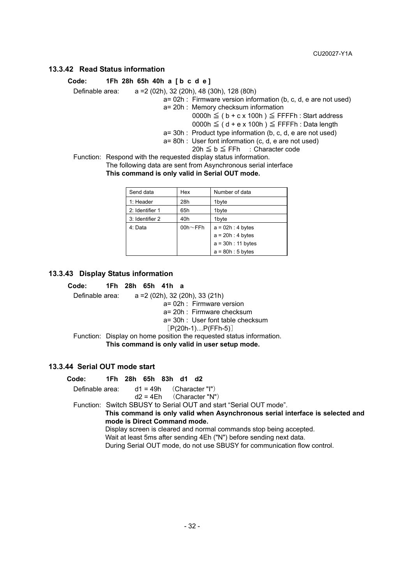CU20027-Y1A

#### **13.3.42 Read Status information**

**Code: 1Fh 28h 65h 40h a [ b c d e ]** 

Definable area: a =2 (02h), 32 (20h), 48 (30h), 128 (80h)

a= 02h : Firmware version information (b, c, d, e are not used)

a= 20h : Memory checksum information

0000h  $\leq$  ( b + c x 100h )  $\leq$  FFFFh : Start address

- 0000h  $\leq$  (d + e x 100h)  $\leq$  FFFFh : Data length
- a= 30h : Product type information (b, c, d, e are not used)
- a= 80h : User font information (c, d, e are not used)

 $20h \leq b \leq FFh$  : Character code

Function: Respond with the requested display status information.

 The following data are sent from Asynchronous serial interface **This command is only valid in Serial OUT mode.** 

| Send data       | Hex           | Number of data       |
|-----------------|---------------|----------------------|
| 1: Header       | 28h           | 1byte                |
| 2: Identifier 1 | 65h           | 1byte                |
| 3: Identifier 2 | 40h           | 1 <sub>byte</sub>    |
| 4: Data         | $00h\sim$ FFh | $a = 02h : 4$ bytes  |
|                 |               | $a = 20h : 4 bytes$  |
|                 |               | $a = 30h : 11$ bytes |
|                 |               | $a = 80h : 5$ bytes  |

# **13.3.43 Display Status information**

**Code: 1Fh 28h 65h 41h a** 

Definable area: a =2 (02h), 32 (20h), 33 (21h)

a= 02h : Firmware version

a= 20h : Firmware checksum

a= 30h : User font table checksum

 $[P(20h-1)...P(FFh-5)]$ 

Function: Display on home position the requested status information. **This command is only valid in user setup mode.** 

#### **13.3.44 Serial OUT mode start**

**Code: 1Fh 28h 65h 83h d1 d2** 

Definable area: d1 = 49h (Character "I")

d2 = 4Eh (Character "N")

Function: Switch SBUSY to Serial OUT and start "Serial OUT mode".

**This command is only valid when Asynchronous serial interface is selected and mode is Direct Command mode.** 

Display screen is cleared and normal commands stop being accepted.

Wait at least 5ms after sending 4Eh ("N") before sending next data.

During Serial OUT mode, do not use SBUSY for communication flow control.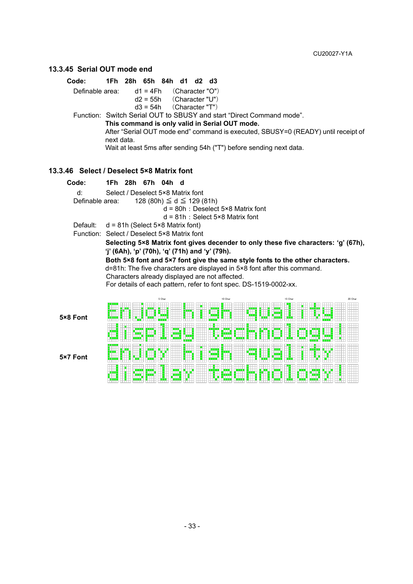# **13.3.45 Serial OUT mode end**

**Code: 1Fh 28h 65h 84h d1 d2 d3** 

Definable area: d1 = 4Fh (Character "O")  $d2 = 55h$  (Character "U")  $d3 = 54h$  (Character "T") Function: Switch Serial OUT to SBUSY and start "Direct Command mode". **This command is only valid in Serial OUT mode.**  After "Serial OUT mode end" command is executed, SBUSY=0 (READY) until receipt of next data.

Wait at least 5ms after sending 54h ("T") before sending next data.

# **13.3.46 Select / Deselect 5×8 Matrix font**

| Code:                                       | 1Fh 28h 67h 04h                                                               |                                   |        | d |                                      |         |  |  |         |  |  |                                                                                    |
|---------------------------------------------|-------------------------------------------------------------------------------|-----------------------------------|--------|---|--------------------------------------|---------|--|--|---------|--|--|------------------------------------------------------------------------------------|
| $d$ :                                       | Select / Deselect 5×8 Matrix font                                             |                                   |        |   |                                      |         |  |  |         |  |  |                                                                                    |
| Definable area:                             |                                                                               | 128 (80h) $\leq d \leq 129$ (81h) |        |   |                                      |         |  |  |         |  |  |                                                                                    |
|                                             |                                                                               |                                   |        |   | $d = 80h$ : Deselect 5×8 Matrix font |         |  |  |         |  |  |                                                                                    |
|                                             |                                                                               |                                   |        |   | $d = 81h$ : Select 5×8 Matrix font   |         |  |  |         |  |  |                                                                                    |
| Default:                                    | $d = 81h$ (Select 5×8 Matrix font)                                            |                                   |        |   |                                      |         |  |  |         |  |  |                                                                                    |
| Function: Select / Deselect 5×8 Matrix font |                                                                               |                                   |        |   |                                      |         |  |  |         |  |  |                                                                                    |
|                                             |                                                                               |                                   |        |   |                                      |         |  |  |         |  |  | Selecting 5×8 Matrix font gives decender to only these five characters: 'g' (67h), |
|                                             | 'j' (6Ah), 'p' (70h), 'q' (71h) and 'y' (79h).                                |                                   |        |   |                                      |         |  |  |         |  |  |                                                                                    |
|                                             | Both 5×8 font and 5×7 font give the same style fonts to the other characters. |                                   |        |   |                                      |         |  |  |         |  |  |                                                                                    |
|                                             | d=81h: The five characters are displayed in 5×8 font after this command.      |                                   |        |   |                                      |         |  |  |         |  |  |                                                                                    |
|                                             | Characters already displayed are not affected.                                |                                   |        |   |                                      |         |  |  |         |  |  |                                                                                    |
|                                             | For details of each pattern, refer to font spec. DS-1519-0002-xx.             |                                   |        |   |                                      |         |  |  |         |  |  |                                                                                    |
|                                             |                                                                               |                                   |        |   |                                      |         |  |  |         |  |  |                                                                                    |
|                                             |                                                                               |                                   | 5 Char |   |                                      | 10 Char |  |  | 15 Char |  |  |                                                                                    |
|                                             |                                                                               |                                   |        |   |                                      |         |  |  |         |  |  |                                                                                    |
| 5×8 Font                                    |                                                                               |                                   |        |   |                                      |         |  |  |         |  |  |                                                                                    |
|                                             |                                                                               |                                   |        |   |                                      |         |  |  |         |  |  |                                                                                    |
|                                             |                                                                               |                                   |        |   |                                      |         |  |  |         |  |  |                                                                                    |
|                                             |                                                                               |                                   |        |   |                                      |         |  |  |         |  |  |                                                                                    |
|                                             |                                                                               |                                   |        |   |                                      |         |  |  |         |  |  |                                                                                    |
| 5×7 Font                                    |                                                                               |                                   |        |   |                                      |         |  |  |         |  |  |                                                                                    |
|                                             |                                                                               |                                   |        |   |                                      |         |  |  |         |  |  |                                                                                    |
|                                             |                                                                               |                                   |        |   |                                      |         |  |  |         |  |  |                                                                                    |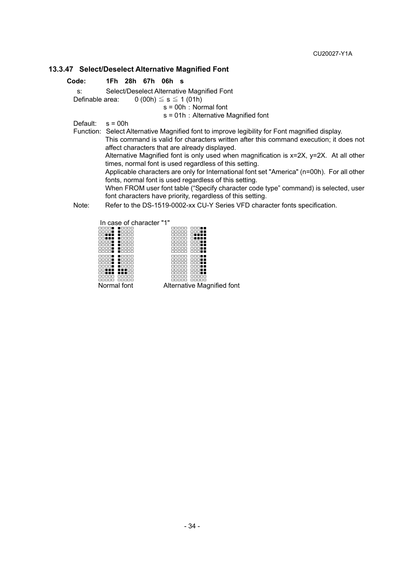# **13.3.47 Select/Deselect Alternative Magnified Font**

| Code:           |           | 1Fh 28h 67h 06h s           |  |                                                                                                                                                                                                                                   |
|-----------------|-----------|-----------------------------|--|-----------------------------------------------------------------------------------------------------------------------------------------------------------------------------------------------------------------------------------|
| S.              |           |                             |  | Select/Deselect Alternative Magnified Font                                                                                                                                                                                        |
| Definable area: |           | $0(00h) \leq s \leq 1(01h)$ |  |                                                                                                                                                                                                                                   |
|                 |           |                             |  | $s = 00h$ : Normal font                                                                                                                                                                                                           |
|                 |           |                             |  | $s = 01h$ : Alternative Magnified font                                                                                                                                                                                            |
| Default:        | $s = 00h$ |                             |  |                                                                                                                                                                                                                                   |
|                 |           |                             |  | Function: Select Alternative Magnified font to improve legibility for Font magnified display.                                                                                                                                     |
|                 |           |                             |  | This command is valid for characters written after this command execution; it does not                                                                                                                                            |
|                 |           |                             |  | affect characters that are already displayed.                                                                                                                                                                                     |
|                 |           |                             |  | Alternative Magnified font is only used when magnification is $x=2X$ , $y=2X$ . At all other                                                                                                                                      |
|                 |           |                             |  | times, normal font is used regardless of this setting.                                                                                                                                                                            |
|                 |           |                             |  | $\mathbf{r}$ . The contract of the contract of the contract of the contract of the contract of the contract of the contract of the contract of the contract of the contract of the contract of the contract of the contract of th |

Applicable characters are only for International font set "America" (n=00h). For all other fonts, normal font is used regardless of this setting.

When FROM user font table ("Specify character code type" command) is selected, user font characters have priority, regardless of this setting.

Note: Refer to the DS-1519-0002-xx CU-Y Series VFD character fonts specification.

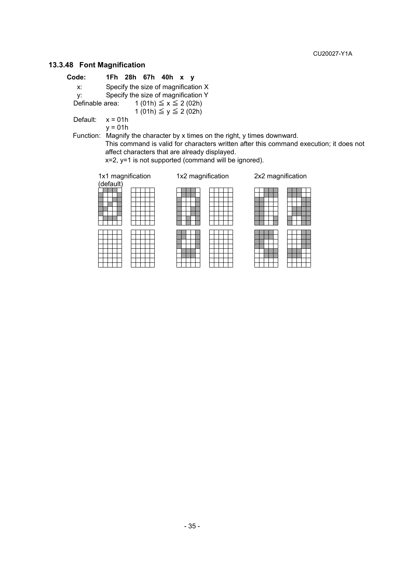# **13.3.48 Font Magnification**

| Code:          |                                           | 1Fh 28h 67h 40h x y                 |                                                           |                                                                            |                                                                                        |
|----------------|-------------------------------------------|-------------------------------------|-----------------------------------------------------------|----------------------------------------------------------------------------|----------------------------------------------------------------------------------------|
| $\mathsf{X}$ : |                                           | Specify the size of magnification X |                                                           |                                                                            |                                                                                        |
| у:             |                                           | Specify the size of magnification Y |                                                           |                                                                            |                                                                                        |
|                | Definable area: $1(01h) \le x \le 2(02h)$ | $1(01h) \le y \le 2(02h)$           |                                                           |                                                                            |                                                                                        |
| Default:       | $x = 01h$                                 |                                     |                                                           |                                                                            |                                                                                        |
|                | $v = 01h$                                 |                                     |                                                           |                                                                            |                                                                                        |
|                |                                           |                                     |                                                           | Function: Magnify the character by x times on the right, y times downward. |                                                                                        |
|                |                                           |                                     |                                                           |                                                                            | This command is valid for characters written after this command execution; it does not |
|                |                                           |                                     | affect characters that are already displayed.             |                                                                            |                                                                                        |
|                |                                           |                                     | $x=2$ , $y=1$ is not supported (command will be ignored). |                                                                            |                                                                                        |
|                | 1x1 magnification                         |                                     | 1x2 magnification                                         | 2x2 magnification                                                          |                                                                                        |
|                | (default)                                 |                                     |                                                           |                                                                            |                                                                                        |
|                |                                           |                                     |                                                           |                                                                            |                                                                                        |
|                |                                           |                                     |                                                           |                                                                            |                                                                                        |
|                |                                           |                                     |                                                           |                                                                            |                                                                                        |
|                |                                           |                                     |                                                           |                                                                            |                                                                                        |
|                |                                           |                                     |                                                           |                                                                            |                                                                                        |
|                |                                           |                                     |                                                           |                                                                            |                                                                                        |
|                |                                           |                                     |                                                           |                                                                            |                                                                                        |
|                |                                           |                                     |                                                           |                                                                            |                                                                                        |
|                |                                           |                                     |                                                           |                                                                            |                                                                                        |
|                |                                           |                                     |                                                           |                                                                            |                                                                                        |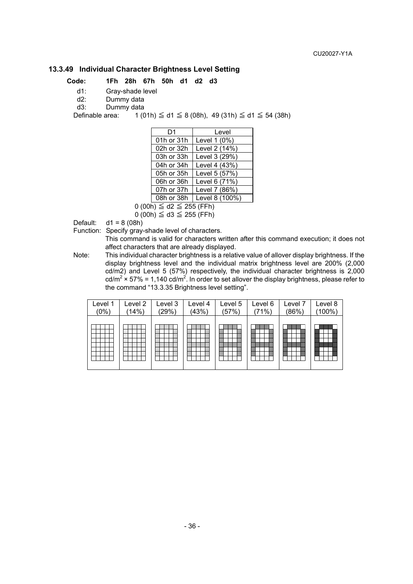#### **13.3.49 Individual Character Brightness Level Setting**

# **Code: 1Fh 28h 67h 50h d1 d2 d3**

- d1: Gray-shade level
- d2: Dummy data
- d3: Dummy data

Definable area: 1 (01h)  $\leq d1 \leq 8$  (08h), 49 (31h)  $\leq d1 \leq 54$  (38h)

| D1                                 | Level          |  |  |  |  |  |
|------------------------------------|----------------|--|--|--|--|--|
| 01h or 31h                         | Level 1 (0%)   |  |  |  |  |  |
| 02h or 32h                         | Level 2 (14%)  |  |  |  |  |  |
| 03h or 33h                         | Level 3 (29%)  |  |  |  |  |  |
| 04h or 34h                         | Level 4 (43%)  |  |  |  |  |  |
| 05h or 35h                         | Level 5 (57%)  |  |  |  |  |  |
| 06h or 36h                         | Level 6 (71%)  |  |  |  |  |  |
| 07h or 37h                         | Level 7 (86%)  |  |  |  |  |  |
| 08h or 38h                         | Level 8 (100%) |  |  |  |  |  |
| 0 (00h) $\leq$ d2 $\leq$ 255 (FFh) |                |  |  |  |  |  |

- $0 \text{ (00h)} \leq \text{d}3 \leq 255 \text{ (FFh)}$ 
	- Default: d1 = 8 (08h)

Function: Specify gray-shade level of characters.

This command is valid for characters written after this command execution; it does not affect characters that are already displayed.

Note: This individual character brightness is a relative value of allover display brightness. If the display brightness level and the individual matrix brightness level are 200% (2,000 cd/m2) and Level 5 (57%) respectively, the individual character brightness is 2,000 cd/m<sup>2</sup> × 57% = 1,140 cd/m<sup>2</sup>. In order to set allover the display brightness, please refer to the command "13.3.35 Brightness level setting".

| Level 1 | Level 2 | Level 3 | Level 4 | Level 5 | Level 6 | Level 7 | Level 8   |
|---------|---------|---------|---------|---------|---------|---------|-----------|
| $(0\%)$ | (14%)   | (29%)   | (43%)   | (57%)   | (71%)   | (86%)   | $(100\%)$ |
|         |         |         |         |         |         |         |           |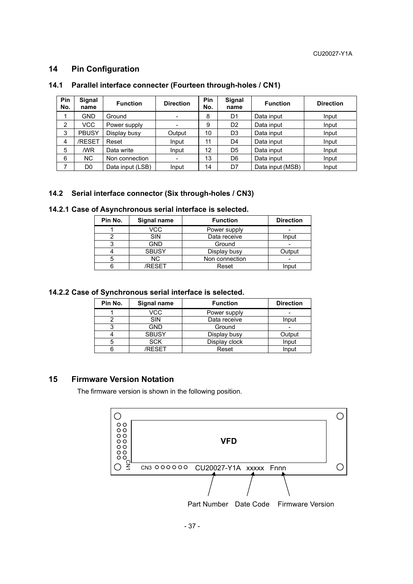# **14 Pin Configuration**

| Pin<br>No.     | Signal<br>name | <b>Function</b>  | <b>Direction</b> | Pin<br>No. | Signal<br>name | <b>Function</b>  | <b>Direction</b> |
|----------------|----------------|------------------|------------------|------------|----------------|------------------|------------------|
|                | <b>GND</b>     | Ground           |                  | 8          | D <sub>1</sub> | Data input       | Input            |
| 2              | VCC            | Power supply     |                  | 9          | D <sub>2</sub> | Data input       | Input            |
| 3              | <b>PBUSY</b>   | Display busy     | Output           | 10         | D <sub>3</sub> | Data input       | Input            |
| $\overline{4}$ | /RESET         | Reset            | Input            | 11         | D4             | Data input       | Input            |
| 5              | /WR            | Data write       | Input            | 12         | D <sub>5</sub> | Data input       | Input            |
| 6              | <b>NC</b>      | Non connection   | -                | 13         | D <sub>6</sub> | Data input       | Input            |
|                | D0             | Data input (LSB) | Input            | 14         | D7             | Data input (MSB) | Input            |

# **14.1 Parallel interface connecter (Fourteen through-holes / CN1)**

#### **14.2 Serial interface connector (Six through-holes / CN3)**

#### **14.2.1 Case of Asynchronous serial interface is selected.**

| Pin No. | Signal name  | <b>Function</b> | <b>Direction</b> |
|---------|--------------|-----------------|------------------|
|         | VCC          | Power supply    |                  |
|         | SIN          | Data receive    | Input            |
|         | GND          | Ground          |                  |
|         | <b>SBUSY</b> | Display busy    | Output           |
|         | <b>NC</b>    | Non connection  |                  |
|         | /RFSFT       | Reset           | Input            |

#### **14.2.2 Case of Synchronous serial interface is selected.**

| Pin No. | Signal name  | <b>Function</b> | <b>Direction</b> |
|---------|--------------|-----------------|------------------|
|         | VCC          | Power supply    |                  |
|         | <b>SIN</b>   | Data receive    | Input            |
| ົ       | <b>GND</b>   | Ground          |                  |
|         | <b>SBUSY</b> | Display busy    | Output           |
| 5       | <b>SCK</b>   | Display clock   | Input            |
|         | <b>RESET</b> | Reset           | Input            |

# **15 Firmware Version Notation**

The firmware version is shown in the following position.

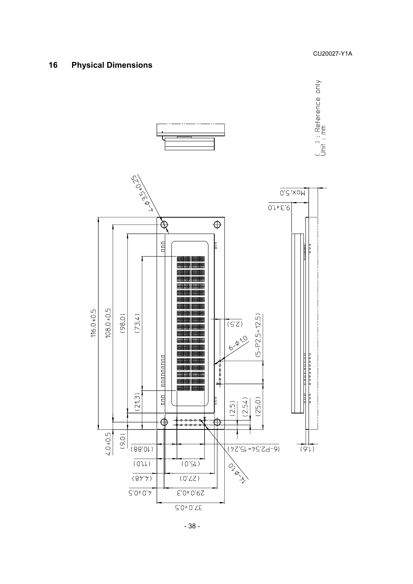# **16 Physical Dimensions**







- 38 -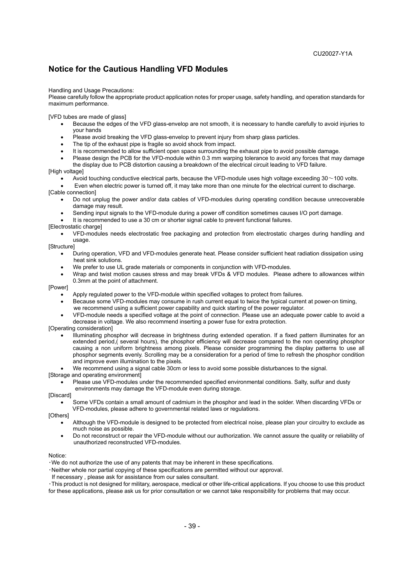# **Notice for the Cautious Handling VFD Modules**

#### Handling and Usage Precautions:

Please carefully follow the appropriate product application notes for proper usage, safety handling, and operation standards for maximum performance.

[VFD tubes are made of glass]

- Because the edges of the VFD glass-envelop are not smooth, it is necessary to handle carefully to avoid injuries to your hands
- Please avoid breaking the VFD glass-envelop to prevent injury from sharp glass particles.
- The tip of the exhaust pipe is fragile so avoid shock from impact.
- It is recommended to allow sufficient open space surrounding the exhaust pipe to avoid possible damage.
- Please design the PCB for the VFD-module within 0.3 mm warping tolerance to avoid any forces that may damage the display due to PCB distortion causing a breakdown of the electrical circuit leading to VFD failure.

[High voltage]

- Avoid touching conductive electrical parts, because the VFD-module uses high voltage exceeding  $30~100$  volts.
- Even when electric power is turned off, it may take more than one minute for the electrical current to discharge.

#### [Cable connection]

- Do not unplug the power and/or data cables of VFD-modules during operating condition because unrecoverable damage may result.
- Sending input signals to the VFD-module during a power off condition sometimes causes I/O port damage.
- It is recommended to use a 30 cm or shorter signal cable to prevent functional failures.

#### [Electrostatic charge]

• VFD-modules needs electrostatic free packaging and protection from electrostatic charges during handling and usage.

[Structure]

- During operation, VFD and VFD-modules generate heat. Please consider sufficient heat radiation dissipation using heat sink solutions.
- We prefer to use UL grade materials or components in conjunction with VFD-modules.
- Wrap and twist motion causes stress and may break VFDs & VFD modules. Please adhere to allowances within 0.3mm at the point of attachment.

[Power]

- Apply regulated power to the VFD-module within specified voltages to protect from failures.
- Because some VFD-modules may consume in rush current equal to twice the typical current at power-on timing, we recommend using a sufficient power capability and quick starting of the power regulator.
- VFD-module needs a specified voltage at the point of connection. Please use an adequate power cable to avoid a decrease in voltage. We also recommend inserting a power fuse for extra protection.

[Operating consideration]

- Illuminating phosphor will decrease in brightness during extended operation. If a fixed pattern illuminates for an extended period,( several hours), the phosphor efficiency will decrease compared to the non operating phosphor causing a non uniform brightness among pixels. Please consider programming the display patterns to use all phosphor segments evenly. Scrolling may be a consideration for a period of time to refresh the phosphor condition and improve even illumination to the pixels.
- We recommend using a signal cable 30cm or less to avoid some possible disturbances to the signal.

[Storage and operating environment]

• Please use VFD-modules under the recommended specified environmental conditions. Salty, sulfur and dusty environments may damage the VFD-module even during storage.

[Discard]

• Some VFDs contain a small amount of cadmium in the phosphor and lead in the solder. When discarding VFDs or VFD-modules, please adhere to governmental related laws or regulations.

[Others]

- Although the VFD-module is designed to be protected from electrical noise, please plan your circuitry to exclude as much noise as possible.
- Do not reconstruct or repair the VFD-module without our authorization. We cannot assure the quality or reliability of unauthorized reconstructed VFD-modules.

#### Notice:

・We do not authorize the use of any patents that may be inherent in these specifications.

・Neither whole nor partial copying of these specifications are permitted without our approval.

If necessary , please ask for assistance from our sales consultant.

・This product is not designed for military, aerospace, medical or other life-critical applications. If you choose to use this product for these applications, please ask us for prior consultation or we cannot take responsibility for problems that may occur.